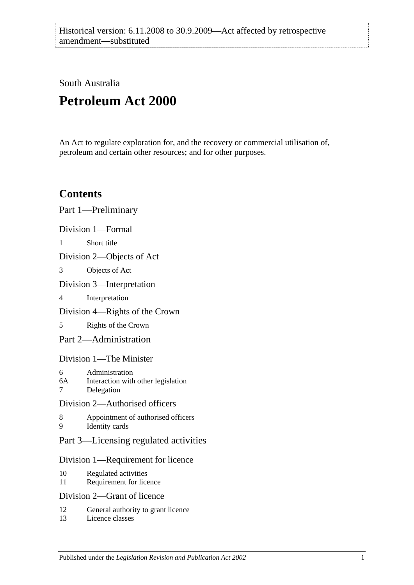South Australia

# **Petroleum Act 2000**

An Act to regulate exploration for, and the recovery or commercial utilisation of, petroleum and certain other resources; and for other purposes.

# **Contents**

|                           | Part 1-Preliminary                                                 |
|---------------------------|--------------------------------------------------------------------|
|                           | Division 1-Formal                                                  |
| 1                         | Short title                                                        |
|                           | Division 2—Objects of Act                                          |
| 3                         | Objects of Act                                                     |
|                           | Division 3—Interpretation                                          |
| $\overline{\mathcal{L}}$  | Interpretation                                                     |
|                           | Division 4—Rights of the Crown                                     |
| 5                         | Rights of the Crown                                                |
|                           | Part 2—Administration                                              |
|                           | Division 1—The Minister                                            |
| 6<br>6A<br>$\overline{7}$ | Administration<br>Interaction with other legislation<br>Delegation |
|                           | Division 2-Authorised officers                                     |
| 8<br>9                    | Appointment of authorised officers<br>Identity cards               |
|                           | Part 3—Licensing regulated activities                              |
|                           | Division 1—Requirement for licence                                 |
| 10<br>11                  | Regulated activities<br>Requirement for licence                    |
|                           | Division 2—Grant of licence                                        |
| 12                        | General authority to grant licence                                 |

13 [Licence classes](#page-13-3)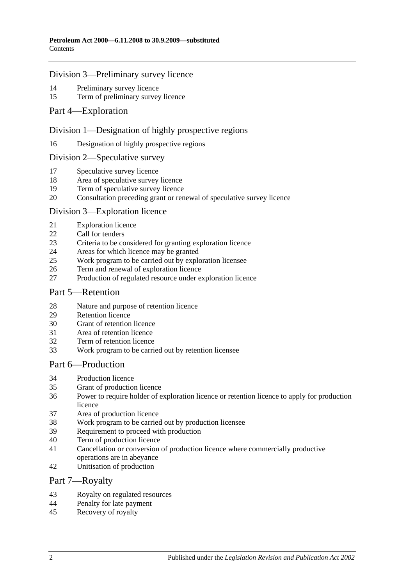#### [Division 3—Preliminary survey licence](#page-13-4)

- [Preliminary survey licence](#page-13-5)<br>15 Term of preliminary survey
- [Term of preliminary survey licence](#page-14-0)
- [Part 4—Exploration](#page-14-1)

#### [Division 1—Designation of highly prospective regions](#page-14-2)

[Designation of highly prospective regions](#page-14-3)

#### [Division 2—Speculative survey](#page-14-4)

- [Speculative survey licence](#page-14-5)
- [Area of speculative survey licence](#page-14-6)
- [Term of speculative survey licence](#page-14-7)
- [Consultation preceding grant or renewal of speculative survey licence](#page-14-8)

#### [Division 3—Exploration licence](#page-15-0)

- [Exploration licence](#page-15-1)
- [Call for tenders](#page-15-2)
- [Criteria to be considered for granting exploration licence](#page-16-0)
- [Areas for which licence may be granted](#page-16-1)
- [Work program to be carried out by exploration licensee](#page-16-2)
- [Term and renewal of exploration licence](#page-16-3)
- [Production of regulated resource under exploration licence](#page-17-0)

#### [Part 5—Retention](#page-17-1)

- [Nature and purpose of retention licence](#page-17-2)<br>29 Retention licence
- [Retention licence](#page-17-3)
- [Grant of retention licence](#page-18-0)
- [Area of retention licence](#page-18-1)
- [Term of retention licence](#page-18-2)
- [Work program to be carried out by retention licensee](#page-18-3)

# [Part 6—Production](#page-19-0)

- [Production licence](#page-19-1)
- [Grant of production licence](#page-19-2)
- [Power to require holder of exploration licence or retention licence to apply for production](#page-20-0)  [licence](#page-20-0)
- [Area of production licence](#page-20-1)
- [Work program to be carried out by production licensee](#page-20-2)
- [Requirement to proceed with production](#page-21-0)
- [Term of production licence](#page-21-1)
- [Cancellation or conversion of production licence where commercially productive](#page-21-2)  [operations are](#page-21-2) in abeyance
- [Unitisation of production](#page-21-3)

#### [Part 7—Royalty](#page-22-0)

- [Royalty on regulated resources](#page-22-1)
- [Penalty for late payment](#page-23-0)
- [Recovery of royalty](#page-23-1)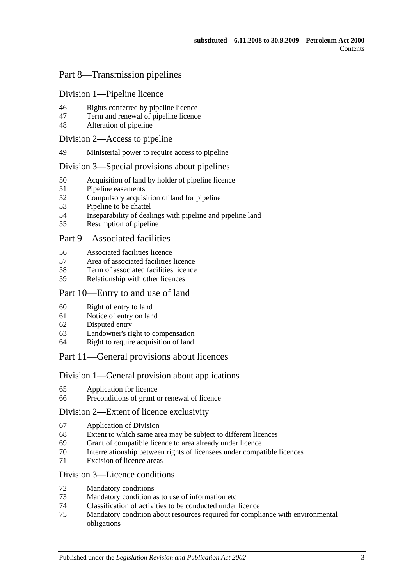# [Part 8—Transmission pipelines](#page-24-0)

[Division 1—Pipeline licence](#page-24-1)

- [Rights conferred by pipeline licence](#page-24-2)
- [Term and renewal of pipeline licence](#page-24-3)
- [Alteration of pipeline](#page-24-4)

#### [Division 2—Access to pipeline](#page-25-0)

[Ministerial power to require access to pipeline](#page-25-1)

#### [Division 3—Special provisions about pipelines](#page-25-2)

- [Acquisition of land by holder of pipeline licence](#page-25-3)
- [Pipeline easements](#page-25-4)
- [Compulsory acquisition of land for pipeline](#page-25-5)
- [Pipeline to be chattel](#page-26-0)
- [Inseparability of dealings with pipeline and pipeline land](#page-26-1)
- [Resumption of pipeline](#page-26-2)

#### [Part 9—Associated facilities](#page-27-0)

- [Associated facilities licence](#page-27-1)
- [Area of associated facilities licence](#page-27-2)
- [Term of associated facilities licence](#page-28-0)
- [Relationship with other licences](#page-28-1)

### [Part 10—Entry to and use of land](#page-29-0)

- [Right of entry to land](#page-29-1)
- [Notice of entry on land](#page-29-2)
- [Disputed entry](#page-29-3)
- [Landowner's right to compensation](#page-29-4)
- [Right to require acquisition of land](#page-30-0)

#### [Part 11—General provisions about licences](#page-30-1)

#### [Division 1—General provision about applications](#page-30-2)

- [Application for licence](#page-30-3)
- [Preconditions of grant or renewal of licence](#page-31-0)

#### [Division 2—Extent of licence exclusivity](#page-31-1)

- [Application of Division](#page-31-2)
- [Extent to which same area may be subject to different licences](#page-31-3)
- [Grant of compatible licence to area already under licence](#page-32-0)
- [Interrelationship between rights of licensees under compatible licences](#page-32-1)
- [Excision of licence areas](#page-32-2)

#### [Division 3—Licence conditions](#page-32-3)

- [Mandatory conditions](#page-32-4)
- [Mandatory condition as to use of information etc](#page-32-5)
- [Classification of activities to be conducted under licence](#page-33-0)
- [Mandatory condition about resources required for compliance with environmental](#page-33-1)  [obligations](#page-33-1)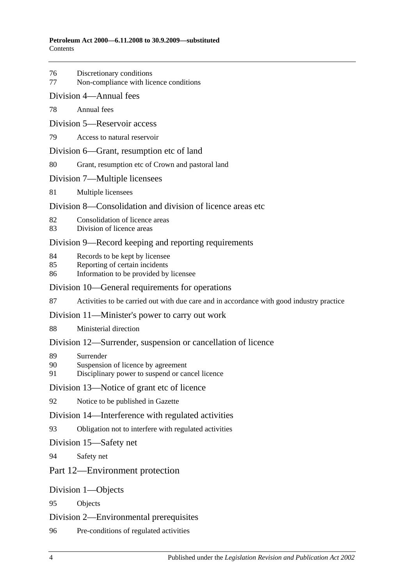- 76 [Discretionary conditions](#page-33-2)
- 77 [Non-compliance with licence conditions](#page-34-0)
- [Division 4—Annual fees](#page-34-1)
- 78 [Annual fees](#page-34-2)
- [Division 5—Reservoir access](#page-34-3)
- 79 [Access to natural reservoir](#page-34-4)
- [Division 6—Grant, resumption etc of land](#page-35-0)
- 80 [Grant, resumption etc of Crown and pastoral land](#page-35-1)
- [Division 7—Multiple licensees](#page-35-2)
- 81 [Multiple licensees](#page-35-3)
- [Division 8—Consolidation and division of licence areas etc](#page-36-0)
- 82 [Consolidation of licence areas](#page-36-1)
- 83 [Division of licence areas](#page-36-2)

#### [Division 9—Record keeping and reporting requirements](#page-36-3)

- 84 [Records to be kept by licensee](#page-36-4)
- 85 [Reporting of certain incidents](#page-37-0)
- 86 [Information to be provided by licensee](#page-37-1)

#### [Division 10—General requirements for operations](#page-38-0)

87 [Activities to be carried out with due care and in accordance with good industry practice](#page-38-1)

#### [Division 11—Minister's power to carry out work](#page-38-2)

88 [Ministerial direction](#page-38-3)

#### [Division 12—Surrender, suspension or cancellation of licence](#page-38-4)

- 89 [Surrender](#page-38-5)
- 90 [Suspension of licence by agreement](#page-39-0)
- 91 [Disciplinary power to suspend or cancel licence](#page-39-1)

#### [Division 13—Notice of grant etc of licence](#page-39-2)

92 [Notice to be published in Gazette](#page-39-3)

#### [Division 14—Interference with regulated activities](#page-40-0)

93 [Obligation not to interfere with regulated activities](#page-40-1)

#### [Division 15—Safety net](#page-40-2)

94 [Safety net](#page-40-3)

### [Part 12—Environment protection](#page-40-4)

#### [Division 1—Objects](#page-40-5)

95 [Objects](#page-40-6)

#### [Division 2—Environmental prerequisites](#page-40-7)

96 [Pre-conditions of regulated activities](#page-40-8)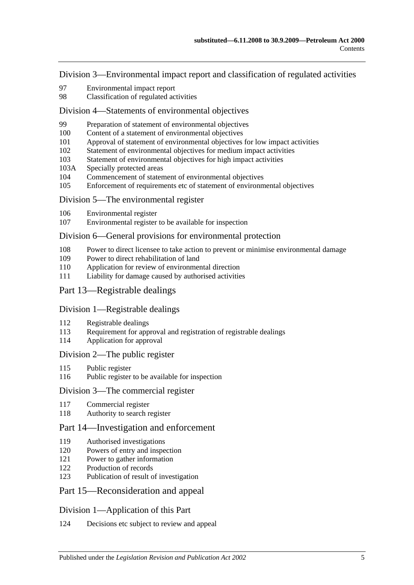[Division 3—Environmental impact report and classification of regulated activities](#page-41-0)

- [Environmental impact report](#page-41-1)
- [Classification of regulated activities](#page-41-2)

#### [Division 4—Statements of environmental objectives](#page-42-0)

- [Preparation of statement of environmental objectives](#page-42-1)
- [Content of a statement of environmental objectives](#page-42-2)
- [Approval of statement of environmental objectives for low impact activities](#page-43-0)
- [Statement of environmental objectives for medium impact activities](#page-43-1)
- [Statement of environmental objectives for high impact activities](#page-44-0)
- 103A [Specially protected areas](#page-44-1)
- [Commencement of statement of environmental objectives](#page-44-2)
- [Enforcement of requirements etc of statement of environmental objectives](#page-44-3)

#### [Division 5—The environmental register](#page-45-0)

- [Environmental register](#page-45-1)
- [Environmental register to be available for inspection](#page-45-2)

#### [Division 6—General provisions for environmental protection](#page-45-3)

- [Power to direct licensee to take action to prevent or minimise environmental damage](#page-45-4)
- [Power to direct rehabilitation of land](#page-46-0)
- [Application for review of environmental direction](#page-46-1)
- [Liability for damage caused by authorised activities](#page-46-2)
- [Part 13—Registrable dealings](#page-47-0)

#### [Division 1—Registrable dealings](#page-47-1)

- [Registrable dealings](#page-47-2)
- [Requirement for approval and registration of registrable dealings](#page-47-3)
- [Application for approval](#page-47-4)

#### [Division 2—The public register](#page-48-0)

- Public [register](#page-48-1)
- [Public register to be available for inspection](#page-48-2)

### [Division 3—The commercial register](#page-48-3)

- [Commercial register](#page-48-4)
- [Authority to search register](#page-49-0)

#### [Part 14—Investigation and enforcement](#page-49-1)

- [Authorised investigations](#page-49-2)
- [Powers of entry and inspection](#page-49-3)
- [Power to gather information](#page-50-0)
- [Production of records](#page-50-1)
- [Publication of result of investigation](#page-50-2)

# [Part 15—Reconsideration and appeal](#page-51-0)

#### [Division 1—Application of this Part](#page-51-1)

[Decisions etc subject to review and appeal](#page-51-2)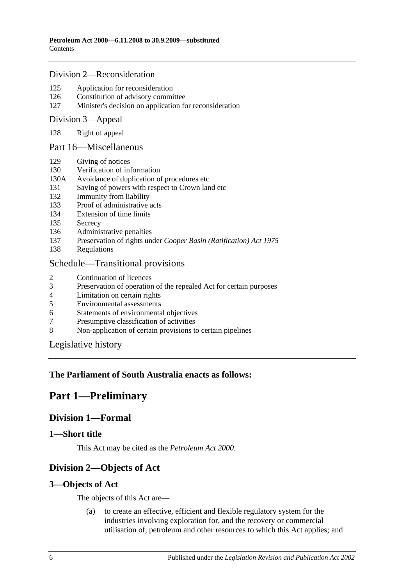#### [Division 2—Reconsideration](#page-51-3)

- 125 [Application for reconsideration](#page-51-4)
- 126 [Constitution of advisory committee](#page-51-5)
- 127 [Minister's decision on application for reconsideration](#page-52-0)

#### [Division 3—Appeal](#page-52-1)

128 [Right of appeal](#page-52-2)

#### [Part 16—Miscellaneous](#page-52-3)

- 129 [Giving of notices](#page-52-4)
- 130 [Verification of information](#page-52-5)
- 130A [Avoidance of duplication of procedures etc](#page-53-0)
- 131 [Saving of powers with respect to Crown land etc](#page-55-0)
- 132 [Immunity from liability](#page-55-1)
- 133 [Proof of administrative acts](#page-55-2)
- 134 [Extension of time limits](#page-55-3)
- 135 [Secrecy](#page-55-4)
- 136 [Administrative penalties](#page-55-5)
- 137 Preservation of rights under *[Cooper Basin \(Ratification\) Act](#page-56-0) 1975*
- 138 [Regulations](#page-56-1)

#### [Schedule—Transitional provisions](#page-57-0)

- 2 [Continuation of licences](#page-57-1)
- 3 [Preservation of operation of the repealed Act for certain purposes](#page-57-2)<br>4 Limitation on certain rights
- 4 [Limitation on certain rights](#page-57-3)<br>5 Environmental assessments
- 5 [Environmental assessments](#page-58-0)
- 6 [Statements of environmental objectives](#page-58-1)
- 7 [Presumptive classification of activities](#page-58-2)
- 8 [Non-application of certain provisions to certain pipelines](#page-58-3)

[Legislative history](#page-59-0)

#### <span id="page-5-0"></span>**The Parliament of South Australia enacts as follows:**

# <span id="page-5-1"></span>**Part 1—Preliminary**

# **Division 1—Formal**

#### <span id="page-5-2"></span>**1—Short title**

This Act may be cited as the *Petroleum Act 2000*.

# <span id="page-5-3"></span>**Division 2—Objects of Act**

#### <span id="page-5-4"></span>**3—Objects of Act**

The objects of this Act are—

(a) to create an effective, efficient and flexible regulatory system for the industries involving exploration for, and the recovery or commercial utilisation of, petroleum and other resources to which this Act applies; and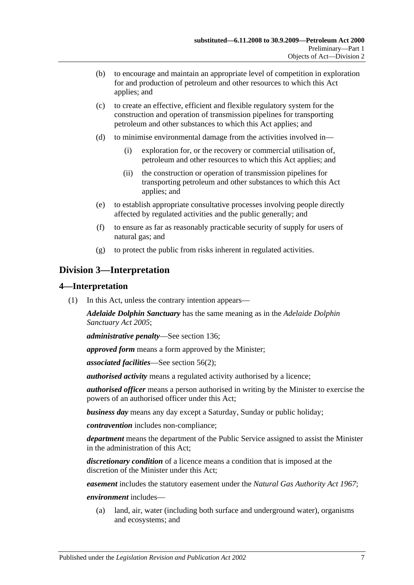- (b) to encourage and maintain an appropriate level of competition in exploration for and production of petroleum and other resources to which this Act applies; and
- (c) to create an effective, efficient and flexible regulatory system for the construction and operation of transmission pipelines for transporting petroleum and other substances to which this Act applies; and
- (d) to minimise environmental damage from the activities involved in—
	- (i) exploration for, or the recovery or commercial utilisation of, petroleum and other resources to which this Act applies; and
	- (ii) the construction or operation of transmission pipelines for transporting petroleum and other substances to which this Act applies; and
- (e) to establish appropriate consultative processes involving people directly affected by regulated activities and the public generally; and
- (f) to ensure as far as reasonably practicable security of supply for users of natural gas; and
- (g) to protect the public from risks inherent in regulated activities.

# <span id="page-6-0"></span>**Division 3—Interpretation**

### <span id="page-6-1"></span>**4—Interpretation**

(1) In this Act, unless the contrary intention appears—

*Adelaide Dolphin Sanctuary* has the same meaning as in the *[Adelaide Dolphin](http://www.legislation.sa.gov.au/index.aspx?action=legref&type=act&legtitle=Adelaide%20Dolphin%20Sanctuary%20Act%202005)  [Sanctuary Act](http://www.legislation.sa.gov.au/index.aspx?action=legref&type=act&legtitle=Adelaide%20Dolphin%20Sanctuary%20Act%202005) 2005*;

*administrative penalty*—See [section](#page-55-5) 136;

*approved form* means a form approved by the Minister;

*associated facilities*—See [section](#page-27-3) 56(2);

*authorised activity* means a regulated activity authorised by a licence;

*authorised officer* means a person authorised in writing by the Minister to exercise the powers of an authorised officer under this Act;

*business day* means any day except a Saturday, Sunday or public holiday;

*contravention* includes non-compliance;

*department* means the department of the Public Service assigned to assist the Minister in the administration of this Act;

*discretionary condition* of a licence means a condition that is imposed at the discretion of the Minister under this Act;

*easement* includes the statutory easement under the *[Natural Gas Authority Act](http://www.legislation.sa.gov.au/index.aspx?action=legref&type=act&legtitle=Natural%20Gas%20Authority%20Act%201967) 1967*;

*environment* includes—

(a) land, air, water (including both surface and underground water), organisms and ecosystems; and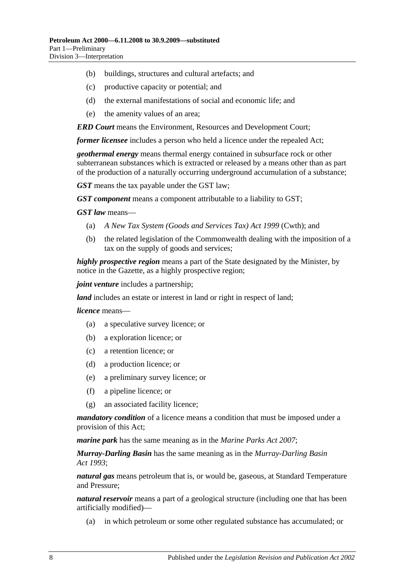- (b) buildings, structures and cultural artefacts; and
- (c) productive capacity or potential; and
- (d) the external manifestations of social and economic life; and
- (e) the amenity values of an area;

*ERD Court* means the Environment, Resources and Development Court;

*former licensee* includes a person who held a licence under the repealed Act;

*geothermal energy* means thermal energy contained in subsurface rock or other subterranean substances which is extracted or released by a means other than as part of the production of a naturally occurring underground accumulation of a substance;

*GST* means the tax payable under the GST law;

*GST component* means a component attributable to a liability to GST;

*GST law* means—

- (a) *A New Tax System (Goods and Services Tax) Act 1999* (Cwth); and
- (b) the related legislation of the Commonwealth dealing with the imposition of a tax on the supply of goods and services;

*highly prospective region* means a part of the State designated by the Minister, by notice in the Gazette, as a highly prospective region;

*joint venture* includes a partnership;

*land* includes an estate or interest in land or right in respect of land;

*licence* means—

- (a) a speculative survey licence; or
- (b) a exploration licence; or
- (c) a retention licence; or
- (d) a production licence; or
- (e) a preliminary survey licence; or
- (f) a pipeline licence; or
- (g) an associated facility licence;

*mandatory condition* of a licence means a condition that must be imposed under a provision of this Act;

*marine park* has the same meaning as in the *[Marine Parks Act 2007](http://www.legislation.sa.gov.au/index.aspx?action=legref&type=act&legtitle=Marine%20Parks%20Act%202007)*;

*Murray-Darling Basin* has the same meaning as in the *[Murray-Darling Basin](http://www.legislation.sa.gov.au/index.aspx?action=legref&type=act&legtitle=Murray-Darling%20Basin%20Act%201993)  Act [1993](http://www.legislation.sa.gov.au/index.aspx?action=legref&type=act&legtitle=Murray-Darling%20Basin%20Act%201993)*;

*natural gas* means petroleum that is, or would be, gaseous, at Standard Temperature and Pressure;

*natural reservoir* means a part of a geological structure (including one that has been artificially modified)—

(a) in which petroleum or some other regulated substance has accumulated; or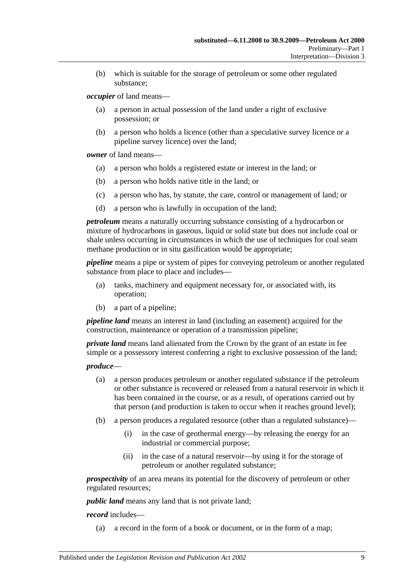(b) which is suitable for the storage of petroleum or some other regulated substance;

*occupier* of land means—

- (a) a person in actual possession of the land under a right of exclusive possession; or
- (b) a person who holds a licence (other than a speculative survey licence or a pipeline survey licence) over the land;

*owner* of land means—

- (a) a person who holds a registered estate or interest in the land; or
- (b) a person who holds native title in the land; or
- (c) a person who has, by statute, the care, control or management of land; or
- (d) a person who is lawfully in occupation of the land;

*petroleum* means a naturally occurring substance consisting of a hydrocarbon or mixture of hydrocarbons in gaseous, liquid or solid state but does not include coal or shale unless occurring in circumstances in which the use of techniques for coal seam methane production or in situ gasification would be appropriate;

*pipeline* means a pipe or system of pipes for conveying petroleum or another regulated substance from place to place and includes—

- (a) tanks, machinery and equipment necessary for, or associated with, its operation;
- (b) a part of a pipeline;

*pipeline land* means an interest in land (including an easement) acquired for the construction, maintenance or operation of a transmission pipeline;

*private land* means land alienated from the Crown by the grant of an estate in fee simple or a possessory interest conferring a right to exclusive possession of the land;

*produce*—

- (a) a person produces petroleum or another regulated substance if the petroleum or other substance is recovered or released from a natural reservoir in which it has been contained in the course, or as a result, of operations carried out by that person (and production is taken to occur when it reaches ground level);
- (b) a person produces a regulated resource (other than a regulated substance)—
	- (i) in the case of geothermal energy—by releasing the energy for an industrial or commercial purpose;
	- (ii) in the case of a natural reservoir—by using it for the storage of petroleum or another regulated substance;

*prospectivity* of an area means its potential for the discovery of petroleum or other regulated resources;

*public land* means any land that is not private land;

#### *record* includes—

(a) a record in the form of a book or document, or in the form of a map;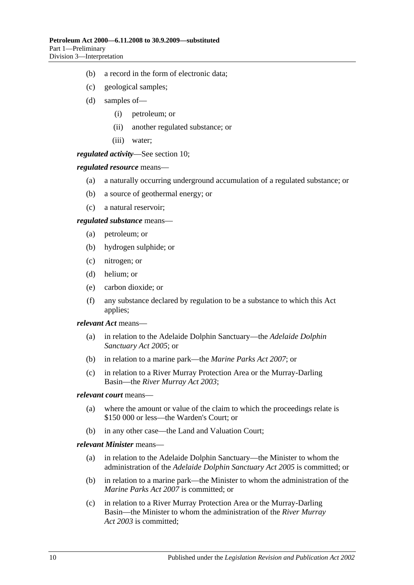- (b) a record in the form of electronic data;
- (c) geological samples;
- (d) samples of—
	- (i) petroleum; or
	- (ii) another regulated substance; or
	- (iii) water;

*regulated activity*—See [section](#page-12-2) 10;

#### *regulated resource* means—

- (a) a naturally occurring underground accumulation of a regulated substance; or
- (b) a source of geothermal energy; or
- (c) a natural reservoir;

*regulated substance* means—

- (a) petroleum; or
- (b) hydrogen sulphide; or
- (c) nitrogen; or
- (d) helium; or
- (e) carbon dioxide; or
- (f) any substance declared by regulation to be a substance to which this Act applies;

#### *relevant Act* means—

- (a) in relation to the Adelaide Dolphin Sanctuary—the *[Adelaide Dolphin](http://www.legislation.sa.gov.au/index.aspx?action=legref&type=act&legtitle=Adelaide%20Dolphin%20Sanctuary%20Act%202005)  [Sanctuary Act](http://www.legislation.sa.gov.au/index.aspx?action=legref&type=act&legtitle=Adelaide%20Dolphin%20Sanctuary%20Act%202005) 2005*; or
- (b) in relation to a marine park—the *[Marine Parks Act 2007](http://www.legislation.sa.gov.au/index.aspx?action=legref&type=act&legtitle=Marine%20Parks%20Act%202007)*; or
- (c) in relation to a River Murray Protection Area or the Murray-Darling Basin—the *[River Murray Act](http://www.legislation.sa.gov.au/index.aspx?action=legref&type=act&legtitle=River%20Murray%20Act%202003) 2003*;

#### *relevant court* means—

- (a) where the amount or value of the claim to which the proceedings relate is \$150 000 or less—the Warden's Court; or
- (b) in any other case—the Land and Valuation Court;

#### *relevant Minister* means—

- (a) in relation to the Adelaide Dolphin Sanctuary—the Minister to whom the administration of the *[Adelaide Dolphin Sanctuary Act](http://www.legislation.sa.gov.au/index.aspx?action=legref&type=act&legtitle=Adelaide%20Dolphin%20Sanctuary%20Act%202005) 2005* is committed; or
- (b) in relation to a marine park—the Minister to whom the administration of the *Marine [Parks Act 2007](http://www.legislation.sa.gov.au/index.aspx?action=legref&type=act&legtitle=Marine%20Parks%20Act%202007)* is committed; or
- (c) in relation to a River Murray Protection Area or the Murray-Darling Basin—the Minister to whom the administration of the *[River Murray](http://www.legislation.sa.gov.au/index.aspx?action=legref&type=act&legtitle=River%20Murray%20Act%202003)  Act [2003](http://www.legislation.sa.gov.au/index.aspx?action=legref&type=act&legtitle=River%20Murray%20Act%202003)* is committed;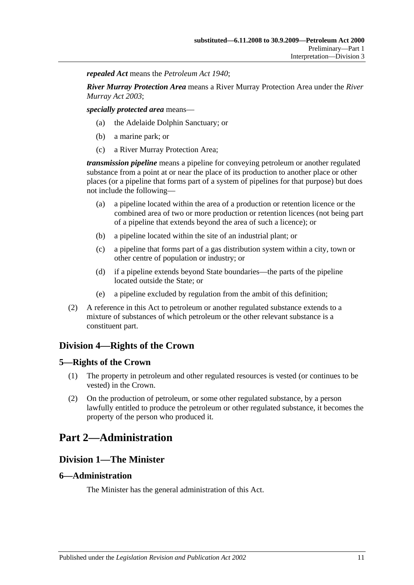*repealed Act* means the *[Petroleum Act](http://www.legislation.sa.gov.au/index.aspx?action=legref&type=act&legtitle=Petroleum%20Act%201940) 1940*;

*River Murray Protection Area* means a River Murray Protection Area under the *[River](http://www.legislation.sa.gov.au/index.aspx?action=legref&type=act&legtitle=River%20Murray%20Act%202003)  [Murray Act](http://www.legislation.sa.gov.au/index.aspx?action=legref&type=act&legtitle=River%20Murray%20Act%202003) 2003*;

*specially protected area* means—

- (a) the Adelaide Dolphin Sanctuary; or
- (b) a marine park; or
- (c) a River Murray Protection Area;

*transmission pipeline* means a pipeline for conveying petroleum or another regulated substance from a point at or near the place of its production to another place or other places (or a pipeline that forms part of a system of pipelines for that purpose) but does not include the following—

- (a) a pipeline located within the area of a production or retention licence or the combined area of two or more production or retention licences (not being part of a pipeline that extends beyond the area of such a licence); or
- (b) a pipeline located within the site of an industrial plant; or
- (c) a pipeline that forms part of a gas distribution system within a city, town or other centre of population or industry; or
- (d) if a pipeline extends beyond State boundaries—the parts of the pipeline located outside the State; or
- (e) a pipeline excluded by regulation from the ambit of this definition;
- (2) A reference in this Act to petroleum or another regulated substance extends to a mixture of substances of which petroleum or the other relevant substance is a constituent part.

# <span id="page-10-0"></span>**Division 4—Rights of the Crown**

#### <span id="page-10-1"></span>**5—Rights of the Crown**

- (1) The property in petroleum and other regulated resources is vested (or continues to be vested) in the Crown.
- (2) On the production of petroleum, or some other regulated substance, by a person lawfully entitled to produce the petroleum or other regulated substance, it becomes the property of the person who produced it.

# <span id="page-10-3"></span><span id="page-10-2"></span>**Part 2—Administration**

# **Division 1—The Minister**

#### <span id="page-10-4"></span>**6—Administration**

The Minister has the general administration of this Act.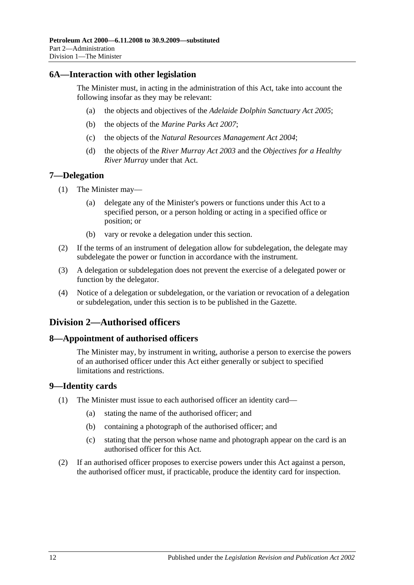### <span id="page-11-0"></span>**6A—Interaction with other legislation**

The Minister must, in acting in the administration of this Act, take into account the following insofar as they may be relevant:

- (a) the objects and objectives of the *[Adelaide Dolphin Sanctuary Act](http://www.legislation.sa.gov.au/index.aspx?action=legref&type=act&legtitle=Adelaide%20Dolphin%20Sanctuary%20Act%202005) 2005*;
- (b) the objects of the *[Marine Parks Act](http://www.legislation.sa.gov.au/index.aspx?action=legref&type=act&legtitle=Marine%20Parks%20Act%202007) 2007*;
- (c) the objects of the *[Natural Resources Management Act](http://www.legislation.sa.gov.au/index.aspx?action=legref&type=act&legtitle=Natural%20Resources%20Management%20Act%202004) 2004*;
- (d) the objects of the *[River Murray Act](http://www.legislation.sa.gov.au/index.aspx?action=legref&type=act&legtitle=River%20Murray%20Act%202003) 2003* and the *Objectives for a Healthy River Murray* under that Act.

### <span id="page-11-1"></span>**7—Delegation**

- (1) The Minister may—
	- (a) delegate any of the Minister's powers or functions under this Act to a specified person, or a person holding or acting in a specified office or position; or
	- (b) vary or revoke a delegation under this section.
- (2) If the terms of an instrument of delegation allow for subdelegation, the delegate may subdelegate the power or function in accordance with the instrument.
- (3) A delegation or subdelegation does not prevent the exercise of a delegated power or function by the delegator.
- (4) Notice of a delegation or subdelegation, or the variation or revocation of a delegation or subdelegation, under this section is to be published in the Gazette.

# <span id="page-11-2"></span>**Division 2—Authorised officers**

#### <span id="page-11-3"></span>**8—Appointment of authorised officers**

The Minister may, by instrument in writing, authorise a person to exercise the powers of an authorised officer under this Act either generally or subject to specified limitations and restrictions.

#### <span id="page-11-4"></span>**9—Identity cards**

- (1) The Minister must issue to each authorised officer an identity card—
	- (a) stating the name of the authorised officer; and
	- (b) containing a photograph of the authorised officer; and
	- (c) stating that the person whose name and photograph appear on the card is an authorised officer for this Act.
- (2) If an authorised officer proposes to exercise powers under this Act against a person, the authorised officer must, if practicable, produce the identity card for inspection.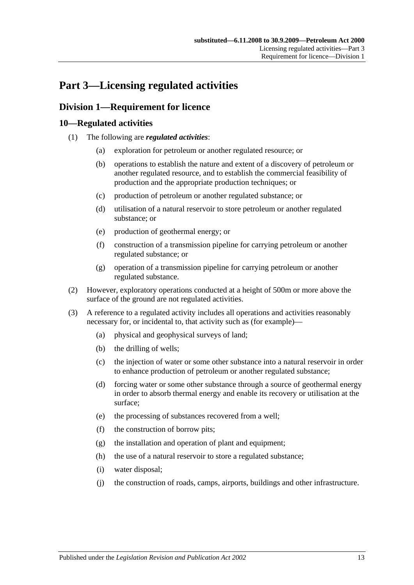# <span id="page-12-0"></span>**Part 3—Licensing regulated activities**

# <span id="page-12-1"></span>**Division 1—Requirement for licence**

# <span id="page-12-2"></span>**10—Regulated activities**

- (1) The following are *regulated activities*:
	- (a) exploration for petroleum or another regulated resource; or
	- (b) operations to establish the nature and extent of a discovery of petroleum or another regulated resource, and to establish the commercial feasibility of production and the appropriate production techniques; or
	- (c) production of petroleum or another regulated substance; or
	- (d) utilisation of a natural reservoir to store petroleum or another regulated substance; or
	- (e) production of geothermal energy; or
	- (f) construction of a transmission pipeline for carrying petroleum or another regulated substance; or
	- (g) operation of a transmission pipeline for carrying petroleum or another regulated substance.
- (2) However, exploratory operations conducted at a height of 500m or more above the surface of the ground are not regulated activities.
- (3) A reference to a regulated activity includes all operations and activities reasonably necessary for, or incidental to, that activity such as (for example)—
	- (a) physical and geophysical surveys of land;
	- (b) the drilling of wells;
	- (c) the injection of water or some other substance into a natural reservoir in order to enhance production of petroleum or another regulated substance;
	- (d) forcing water or some other substance through a source of geothermal energy in order to absorb thermal energy and enable its recovery or utilisation at the surface;
	- (e) the processing of substances recovered from a well;
	- (f) the construction of borrow pits;
	- (g) the installation and operation of plant and equipment;
	- (h) the use of a natural reservoir to store a regulated substance;
	- (i) water disposal;
	- (j) the construction of roads, camps, airports, buildings and other infrastructure.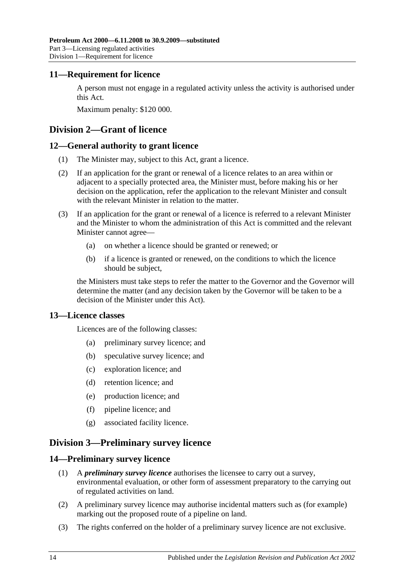# <span id="page-13-0"></span>**11—Requirement for licence**

A person must not engage in a regulated activity unless the activity is authorised under this Act.

Maximum penalty: \$120 000.

# <span id="page-13-1"></span>**Division 2—Grant of licence**

# <span id="page-13-2"></span>**12—General authority to grant licence**

- (1) The Minister may, subject to this Act, grant a licence.
- (2) If an application for the grant or renewal of a licence relates to an area within or adjacent to a specially protected area, the Minister must, before making his or her decision on the application, refer the application to the relevant Minister and consult with the relevant Minister in relation to the matter.
- (3) If an application for the grant or renewal of a licence is referred to a relevant Minister and the Minister to whom the administration of this Act is committed and the relevant Minister cannot agree—
	- (a) on whether a licence should be granted or renewed; or
	- (b) if a licence is granted or renewed, on the conditions to which the licence should be subject,

the Ministers must take steps to refer the matter to the Governor and the Governor will determine the matter (and any decision taken by the Governor will be taken to be a decision of the Minister under this Act).

# <span id="page-13-3"></span>**13—Licence classes**

Licences are of the following classes:

- (a) preliminary survey licence; and
- (b) speculative survey licence; and
- (c) exploration licence; and
- (d) retention licence; and
- (e) production licence; and
- (f) pipeline licence; and
- (g) associated facility licence.

# <span id="page-13-4"></span>**Division 3—Preliminary survey licence**

# <span id="page-13-5"></span>**14—Preliminary survey licence**

- (1) A *preliminary survey licence* authorises the licensee to carry out a survey, environmental evaluation, or other form of assessment preparatory to the carrying out of regulated activities on land.
- (2) A preliminary survey licence may authorise incidental matters such as (for example) marking out the proposed route of a pipeline on land.
- (3) The rights conferred on the holder of a preliminary survey licence are not exclusive.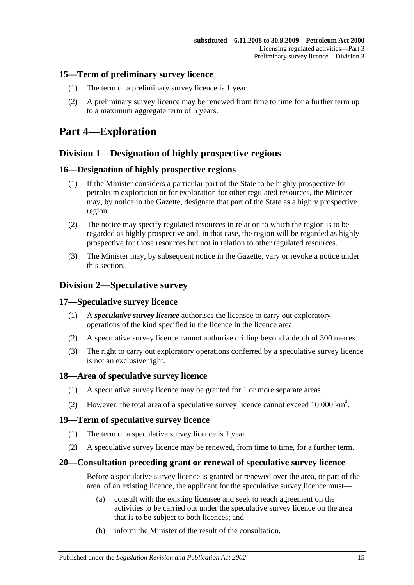# <span id="page-14-0"></span>**15—Term of preliminary survey licence**

- (1) The term of a preliminary survey licence is 1 year.
- (2) A preliminary survey licence may be renewed from time to time for a further term up to a maximum aggregate term of 5 years.

# <span id="page-14-1"></span>**Part 4—Exploration**

# <span id="page-14-2"></span>**Division 1—Designation of highly prospective regions**

# <span id="page-14-3"></span>**16—Designation of highly prospective regions**

- (1) If the Minister considers a particular part of the State to be highly prospective for petroleum exploration or for exploration for other regulated resources, the Minister may, by notice in the Gazette, designate that part of the State as a highly prospective region.
- (2) The notice may specify regulated resources in relation to which the region is to be regarded as highly prospective and, in that case, the region will be regarded as highly prospective for those resources but not in relation to other regulated resources.
- (3) The Minister may, by subsequent notice in the Gazette, vary or revoke a notice under this section.

# <span id="page-14-4"></span>**Division 2—Speculative survey**

# <span id="page-14-5"></span>**17—Speculative survey licence**

- (1) A *speculative survey licence* authorises the licensee to carry out exploratory operations of the kind specified in the licence in the licence area.
- (2) A speculative survey licence cannot authorise drilling beyond a depth of 300 metres.
- (3) The right to carry out exploratory operations conferred by a speculative survey licence is not an exclusive right.

# <span id="page-14-6"></span>**18—Area of speculative survey licence**

- (1) A speculative survey licence may be granted for 1 or more separate areas.
- (2) However, the total area of a speculative survey licence cannot exceed 10 000  $\text{km}^2$ .

# <span id="page-14-7"></span>**19—Term of speculative survey licence**

- (1) The term of a speculative survey licence is 1 year.
- (2) A speculative survey licence may be renewed, from time to time, for a further term.

# <span id="page-14-8"></span>**20—Consultation preceding grant or renewal of speculative survey licence**

Before a speculative survey licence is granted or renewed over the area, or part of the area, of an existing licence, the applicant for the speculative survey licence must—

- (a) consult with the existing licensee and seek to reach agreement on the activities to be carried out under the speculative survey licence on the area that is to be subject to both licences; and
- (b) inform the Minister of the result of the consultation.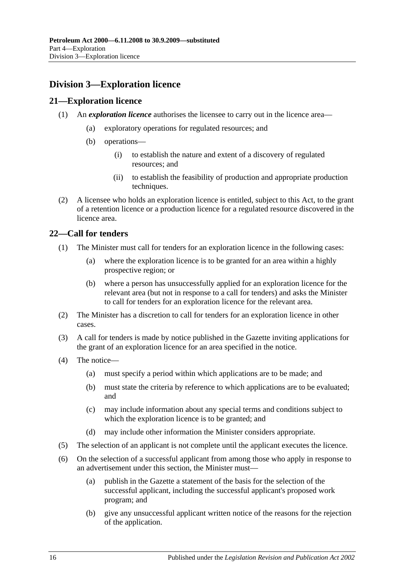# <span id="page-15-0"></span>**Division 3—Exploration licence**

# <span id="page-15-1"></span>**21—Exploration licence**

- (1) An *exploration licence* authorises the licensee to carry out in the licence area—
	- (a) exploratory operations for regulated resources; and
	- (b) operations—
		- (i) to establish the nature and extent of a discovery of regulated resources; and
		- (ii) to establish the feasibility of production and appropriate production techniques.
- (2) A licensee who holds an exploration licence is entitled, subject to this Act, to the grant of a retention licence or a production licence for a regulated resource discovered in the licence area.

# <span id="page-15-2"></span>**22—Call for tenders**

- (1) The Minister must call for tenders for an exploration licence in the following cases:
	- (a) where the exploration licence is to be granted for an area within a highly prospective region; or
	- (b) where a person has unsuccessfully applied for an exploration licence for the relevant area (but not in response to a call for tenders) and asks the Minister to call for tenders for an exploration licence for the relevant area.
- (2) The Minister has a discretion to call for tenders for an exploration licence in other cases.
- (3) A call for tenders is made by notice published in the Gazette inviting applications for the grant of an exploration licence for an area specified in the notice.
- (4) The notice—
	- (a) must specify a period within which applications are to be made; and
	- (b) must state the criteria by reference to which applications are to be evaluated; and
	- (c) may include information about any special terms and conditions subject to which the exploration licence is to be granted; and
	- (d) may include other information the Minister considers appropriate.
- (5) The selection of an applicant is not complete until the applicant executes the licence.
- (6) On the selection of a successful applicant from among those who apply in response to an advertisement under this section, the Minister must—
	- (a) publish in the Gazette a statement of the basis for the selection of the successful applicant, including the successful applicant's proposed work program; and
	- (b) give any unsuccessful applicant written notice of the reasons for the rejection of the application.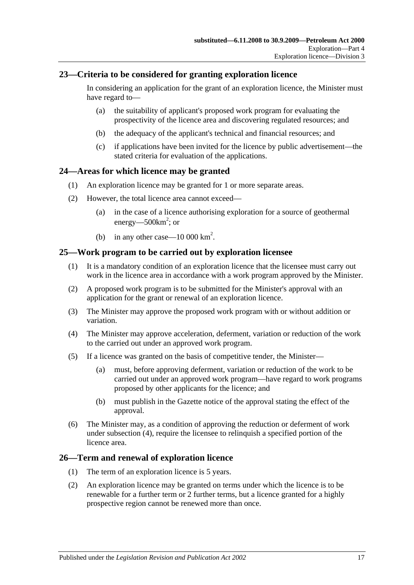# <span id="page-16-0"></span>**23—Criteria to be considered for granting exploration licence**

In considering an application for the grant of an exploration licence, the Minister must have regard to—

- (a) the suitability of applicant's proposed work program for evaluating the prospectivity of the licence area and discovering regulated resources; and
- (b) the adequacy of the applicant's technical and financial resources; and
- (c) if applications have been invited for the licence by public advertisement—the stated criteria for evaluation of the applications.

### <span id="page-16-1"></span>**24—Areas for which licence may be granted**

- (1) An exploration licence may be granted for 1 or more separate areas.
- (2) However, the total licence area cannot exceed—
	- (a) in the case of a licence authorising exploration for a source of geothermal energy—500 $km^2$ ; or
	- (b) in any other case  $-10\,000\,\mathrm{km}^2$ .

### <span id="page-16-2"></span>**25—Work program to be carried out by exploration licensee**

- (1) It is a mandatory condition of an exploration licence that the licensee must carry out work in the licence area in accordance with a work program approved by the Minister.
- (2) A proposed work program is to be submitted for the Minister's approval with an application for the grant or renewal of an exploration licence.
- (3) The Minister may approve the proposed work program with or without addition or variation.
- <span id="page-16-4"></span>(4) The Minister may approve acceleration, deferment, variation or reduction of the work to the carried out under an approved work program.
- (5) If a licence was granted on the basis of competitive tender, the Minister—
	- (a) must, before approving deferment, variation or reduction of the work to be carried out under an approved work program—have regard to work programs proposed by other applicants for the licence; and
	- (b) must publish in the Gazette notice of the approval stating the effect of the approval.
- (6) The Minister may, as a condition of approving the reduction or deferment of work under [subsection](#page-16-4) (4), require the licensee to relinquish a specified portion of the licence area.

# <span id="page-16-3"></span>**26—Term and renewal of exploration licence**

- (1) The term of an exploration licence is 5 years.
- (2) An exploration licence may be granted on terms under which the licence is to be renewable for a further term or 2 further terms, but a licence granted for a highly prospective region cannot be renewed more than once.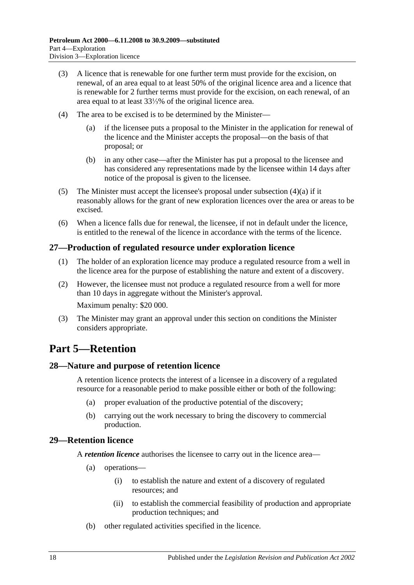- (3) A licence that is renewable for one further term must provide for the excision, on renewal, of an area equal to at least 50% of the original licence area and a licence that is renewable for 2 further terms must provide for the excision, on each renewal, of an area equal to at least 33⅓% of the original licence area.
- <span id="page-17-4"></span>(4) The area to be excised is to be determined by the Minister—
	- (a) if the licensee puts a proposal to the Minister in the application for renewal of the licence and the Minister accepts the proposal—on the basis of that proposal; or
	- (b) in any other case—after the Minister has put a proposal to the licensee and has considered any representations made by the licensee within 14 days after notice of the proposal is given to the licensee.
- (5) The Minister must accept the licensee's proposal under [subsection](#page-17-4)  $(4)(a)$  if it reasonably allows for the grant of new exploration licences over the area or areas to be excised.
- (6) When a licence falls due for renewal, the licensee, if not in default under the licence, is entitled to the renewal of the licence in accordance with the terms of the licence.

### <span id="page-17-0"></span>**27—Production of regulated resource under exploration licence**

- (1) The holder of an exploration licence may produce a regulated resource from a well in the licence area for the purpose of establishing the nature and extent of a discovery.
- (2) However, the licensee must not produce a regulated resource from a well for more than 10 days in aggregate without the Minister's approval. Maximum penalty: \$20 000.
- (3) The Minister may grant an approval under this section on conditions the Minister considers appropriate.

# <span id="page-17-1"></span>**Part 5—Retention**

#### <span id="page-17-2"></span>**28—Nature and purpose of retention licence**

A retention licence protects the interest of a licensee in a discovery of a regulated resource for a reasonable period to make possible either or both of the following:

- (a) proper evaluation of the productive potential of the discovery;
- (b) carrying out the work necessary to bring the discovery to commercial production.

#### <span id="page-17-3"></span>**29—Retention licence**

A *retention licence* authorises the licensee to carry out in the licence area—

- (a) operations—
	- (i) to establish the nature and extent of a discovery of regulated resources; and
	- (ii) to establish the commercial feasibility of production and appropriate production techniques; and
- (b) other regulated activities specified in the licence.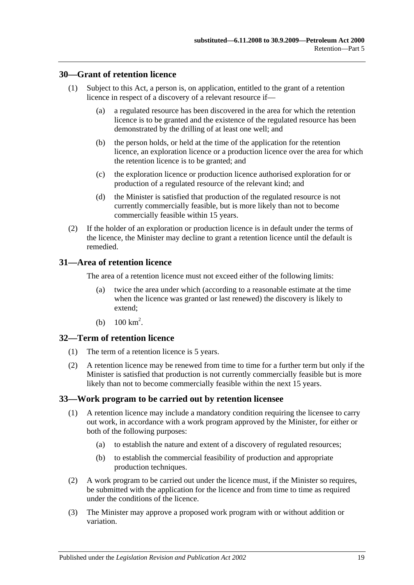### <span id="page-18-0"></span>**30—Grant of retention licence**

- (1) Subject to this Act, a person is, on application, entitled to the grant of a retention licence in respect of a discovery of a relevant resource if—
	- (a) a regulated resource has been discovered in the area for which the retention licence is to be granted and the existence of the regulated resource has been demonstrated by the drilling of at least one well; and
	- (b) the person holds, or held at the time of the application for the retention licence, an exploration licence or a production licence over the area for which the retention licence is to be granted; and
	- (c) the exploration licence or production licence authorised exploration for or production of a regulated resource of the relevant kind; and
	- (d) the Minister is satisfied that production of the regulated resource is not currently commercially feasible, but is more likely than not to become commercially feasible within 15 years.
- (2) If the holder of an exploration or production licence is in default under the terms of the licence, the Minister may decline to grant a retention licence until the default is remedied.

### <span id="page-18-1"></span>**31—Area of retention licence**

The area of a retention licence must not exceed either of the following limits:

- (a) twice the area under which (according to a reasonable estimate at the time when the licence was granted or last renewed) the discovery is likely to extend;
- (b)  $100 \text{ km}^2$ .

#### <span id="page-18-2"></span>**32—Term of retention licence**

- (1) The term of a retention licence is 5 years.
- (2) A retention licence may be renewed from time to time for a further term but only if the Minister is satisfied that production is not currently commercially feasible but is more likely than not to become commercially feasible within the next 15 years.

#### <span id="page-18-3"></span>**33—Work program to be carried out by retention licensee**

- (1) A retention licence may include a mandatory condition requiring the licensee to carry out work, in accordance with a work program approved by the Minister, for either or both of the following purposes:
	- (a) to establish the nature and extent of a discovery of regulated resources;
	- (b) to establish the commercial feasibility of production and appropriate production techniques.
- (2) A work program to be carried out under the licence must, if the Minister so requires, be submitted with the application for the licence and from time to time as required under the conditions of the licence.
- (3) The Minister may approve a proposed work program with or without addition or variation.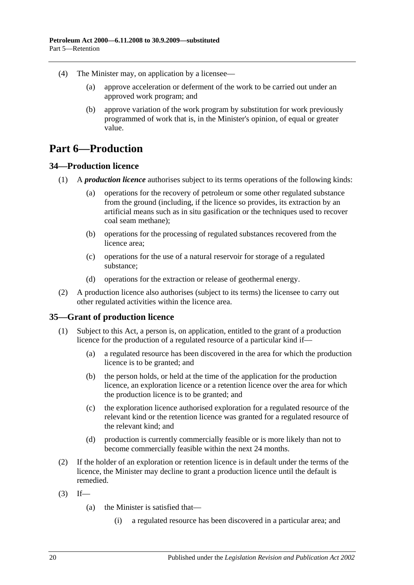- (4) The Minister may, on application by a licensee—
	- (a) approve acceleration or deferment of the work to be carried out under an approved work program; and
	- (b) approve variation of the work program by substitution for work previously programmed of work that is, in the Minister's opinion, of equal or greater value.

# <span id="page-19-0"></span>**Part 6—Production**

# <span id="page-19-1"></span>**34—Production licence**

- (1) A *production licence* authorises subject to its terms operations of the following kinds:
	- (a) operations for the recovery of petroleum or some other regulated substance from the ground (including, if the licence so provides, its extraction by an artificial means such as in situ gasification or the techniques used to recover coal seam methane);
	- (b) operations for the processing of regulated substances recovered from the licence area;
	- (c) operations for the use of a natural reservoir for storage of a regulated substance;
	- (d) operations for the extraction or release of geothermal energy.
- (2) A production licence also authorises (subject to its terms) the licensee to carry out other regulated activities within the licence area.

# <span id="page-19-3"></span><span id="page-19-2"></span>**35—Grant of production licence**

- (1) Subject to this Act, a person is, on application, entitled to the grant of a production licence for the production of a regulated resource of a particular kind if—
	- (a) a regulated resource has been discovered in the area for which the production licence is to be granted; and
	- (b) the person holds, or held at the time of the application for the production licence, an exploration licence or a retention licence over the area for which the production licence is to be granted; and
	- (c) the exploration licence authorised exploration for a regulated resource of the relevant kind or the retention licence was granted for a regulated resource of the relevant kind; and
	- (d) production is currently commercially feasible or is more likely than not to become commercially feasible within the next 24 months.
- (2) If the holder of an exploration or retention licence is in default under the terms of the licence, the Minister may decline to grant a production licence until the default is remedied.
- $(3)$  If—
	- (a) the Minister is satisfied that—
		- (i) a regulated resource has been discovered in a particular area; and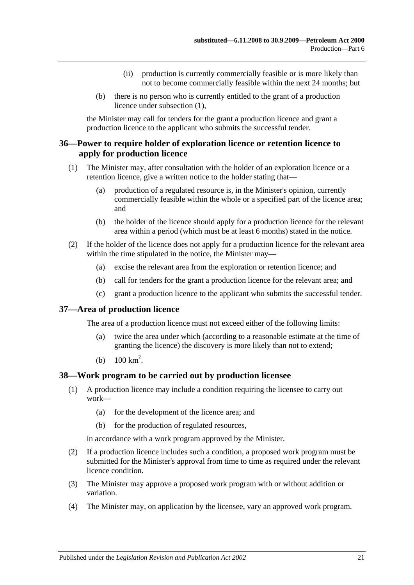- (ii) production is currently commercially feasible or is more likely than not to become commercially feasible within the next 24 months; but
- (b) there is no person who is currently entitled to the grant of a production licence under [subsection](#page-19-3) (1),

the Minister may call for tenders for the grant a production licence and grant a production licence to the applicant who submits the successful tender.

### <span id="page-20-0"></span>**36—Power to require holder of exploration licence or retention licence to apply for production licence**

- (1) The Minister may, after consultation with the holder of an exploration licence or a retention licence, give a written notice to the holder stating that—
	- (a) production of a regulated resource is, in the Minister's opinion, currently commercially feasible within the whole or a specified part of the licence area; and
	- (b) the holder of the licence should apply for a production licence for the relevant area within a period (which must be at least 6 months) stated in the notice.
- (2) If the holder of the licence does not apply for a production licence for the relevant area within the time stipulated in the notice, the Minister may—
	- (a) excise the relevant area from the exploration or retention licence; and
	- (b) call for tenders for the grant a production licence for the relevant area; and
	- (c) grant a production licence to the applicant who submits the successful tender.

#### <span id="page-20-1"></span>**37—Area of production licence**

The area of a production licence must not exceed either of the following limits:

- (a) twice the area under which (according to a reasonable estimate at the time of granting the licence) the discovery is more likely than not to extend;
- (b)  $100 \text{ km}^2$ .

#### <span id="page-20-2"></span>**38—Work program to be carried out by production licensee**

- (1) A production licence may include a condition requiring the licensee to carry out work—
	- (a) for the development of the licence area; and
	- (b) for the production of regulated resources,

in accordance with a work program approved by the Minister.

- (2) If a production licence includes such a condition, a proposed work program must be submitted for the Minister's approval from time to time as required under the relevant licence condition.
- (3) The Minister may approve a proposed work program with or without addition or variation.
- (4) The Minister may, on application by the licensee, vary an approved work program.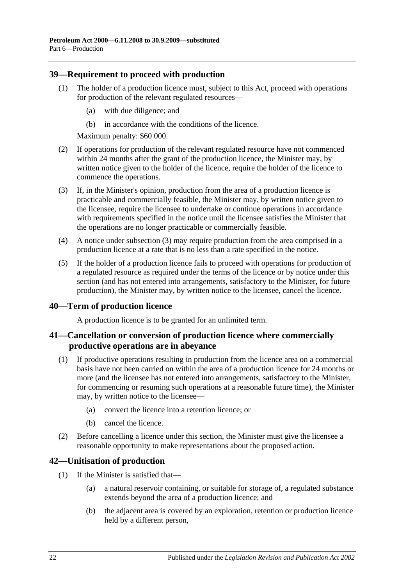# <span id="page-21-0"></span>**39—Requirement to proceed with production**

- (1) The holder of a production licence must, subject to this Act, proceed with operations for production of the relevant regulated resources—
	- (a) with due diligence; and
	- (b) in accordance with the conditions of the licence.

Maximum penalty: \$60 000.

- (2) If operations for production of the relevant regulated resource have not commenced within 24 months after the grant of the production licence, the Minister may, by written notice given to the holder of the licence, require the holder of the licence to commence the operations.
- <span id="page-21-4"></span>(3) If, in the Minister's opinion, production from the area of a production licence is practicable and commercially feasible, the Minister may, by written notice given to the licensee, require the licensee to undertake or continue operations in accordance with requirements specified in the notice until the licensee satisfies the Minister that the operations are no longer practicable or commercially feasible.
- (4) A notice under [subsection](#page-21-4) (3) may require production from the area comprised in a production licence at a rate that is no less than a rate specified in the notice.
- (5) If the holder of a production licence fails to proceed with operations for production of a regulated resource as required under the terms of the licence or by notice under this section (and has not entered into arrangements, satisfactory to the Minister, for future production), the Minister may, by written notice to the licensee, cancel the licence.

# <span id="page-21-1"></span>**40—Term of production licence**

A production licence is to be granted for an unlimited term.

# <span id="page-21-2"></span>**41—Cancellation or conversion of production licence where commercially productive operations are in abeyance**

- (1) If productive operations resulting in production from the licence area on a commercial basis have not been carried on within the area of a production licence for 24 months or more (and the licensee has not entered into arrangements, satisfactory to the Minister, for commencing or resuming such operations at a reasonable future time), the Minister may, by written notice to the licensee—
	- (a) convert the licence into a retention licence; or
	- (b) cancel the licence.
- <span id="page-21-5"></span>(2) Before cancelling a licence under this section, the Minister must give the licensee a reasonable opportunity to make representations about the proposed action.

# <span id="page-21-3"></span>**42—Unitisation of production**

- (1) If the Minister is satisfied that—
	- (a) a natural reservoir containing, or suitable for storage of, a regulated substance extends beyond the area of a production licence; and
	- (b) the adjacent area is covered by an exploration, retention or production licence held by a different person,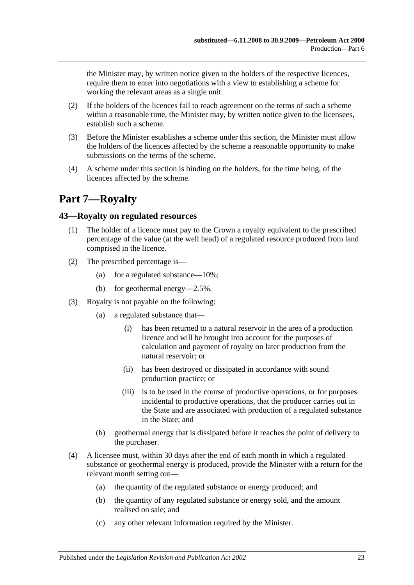the Minister may, by written notice given to the holders of the respective licences, require them to enter into negotiations with a view to establishing a scheme for working the relevant areas as a single unit.

- (2) If the holders of the licences fail to reach agreement on the terms of such a scheme within a reasonable time, the Minister may, by written notice given to the licensees, establish such a scheme.
- (3) Before the Minister establishes a scheme under this section, the Minister must allow the holders of the licences affected by the scheme a reasonable opportunity to make submissions on the terms of the scheme.
- (4) A scheme under this section is binding on the holders, for the time being, of the licences affected by the scheme.

# <span id="page-22-0"></span>**Part 7—Royalty**

# <span id="page-22-1"></span>**43—Royalty on regulated resources**

- (1) The holder of a licence must pay to the Crown a royalty equivalent to the prescribed percentage of the value (at the well head) of a regulated resource produced from land comprised in the licence.
- (2) The prescribed percentage is—
	- (a) for a regulated substance—10%;
	- (b) for geothermal energy—2.5%.
- (3) Royalty is not payable on the following:
	- (a) a regulated substance that—
		- (i) has been returned to a natural reservoir in the area of a production licence and will be brought into account for the purposes of calculation and payment of royalty on later production from the natural reservoir; or
		- (ii) has been destroyed or dissipated in accordance with sound production practice; or
		- (iii) is to be used in the course of productive operations, or for purposes incidental to productive operations, that the producer carries out in the State and are associated with production of a regulated substance in the State; and
	- (b) geothermal energy that is dissipated before it reaches the point of delivery to the purchaser.
- (4) A licensee must, within 30 days after the end of each month in which a regulated substance or geothermal energy is produced, provide the Minister with a return for the relevant month setting out—
	- (a) the quantity of the regulated substance or energy produced; and
	- (b) the quantity of any regulated substance or energy sold, and the amount realised on sale; and
	- (c) any other relevant information required by the Minister.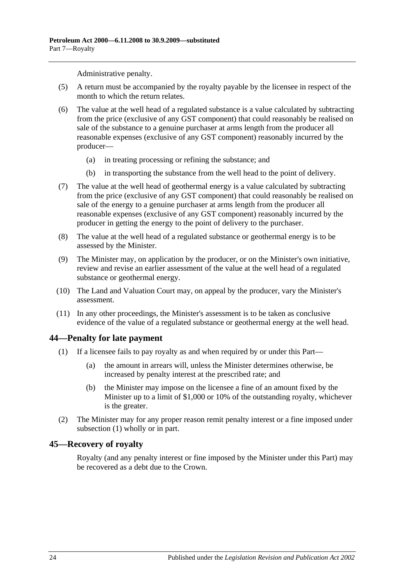Administrative penalty.

- (5) A return must be accompanied by the royalty payable by the licensee in respect of the month to which the return relates.
- (6) The value at the well head of a regulated substance is a value calculated by subtracting from the price (exclusive of any GST component) that could reasonably be realised on sale of the substance to a genuine purchaser at arms length from the producer all reasonable expenses (exclusive of any GST component) reasonably incurred by the producer—
	- (a) in treating processing or refining the substance; and
	- (b) in transporting the substance from the well head to the point of delivery.
- (7) The value at the well head of geothermal energy is a value calculated by subtracting from the price (exclusive of any GST component) that could reasonably be realised on sale of the energy to a genuine purchaser at arms length from the producer all reasonable expenses (exclusive of any GST component) reasonably incurred by the producer in getting the energy to the point of delivery to the purchaser.
- (8) The value at the well head of a regulated substance or geothermal energy is to be assessed by the Minister.
- (9) The Minister may, on application by the producer, or on the Minister's own initiative, review and revise an earlier assessment of the value at the well head of a regulated substance or geothermal energy.
- (10) The Land and Valuation Court may, on appeal by the producer, vary the Minister's assessment.
- (11) In any other proceedings, the Minister's assessment is to be taken as conclusive evidence of the value of a regulated substance or geothermal energy at the well head.

#### <span id="page-23-2"></span><span id="page-23-0"></span>**44—Penalty for late payment**

- (1) If a licensee fails to pay royalty as and when required by or under this Part—
	- (a) the amount in arrears will, unless the Minister determines otherwise, be increased by penalty interest at the prescribed rate; and
	- (b) the Minister may impose on the licensee a fine of an amount fixed by the Minister up to a limit of \$1,000 or 10% of the outstanding royalty, whichever is the greater.
- (2) The Minister may for any proper reason remit penalty interest or a fine imposed under [subsection](#page-23-2) (1) wholly or in part.

#### <span id="page-23-1"></span>**45—Recovery of royalty**

Royalty (and any penalty interest or fine imposed by the Minister under this Part) may be recovered as a debt due to the Crown.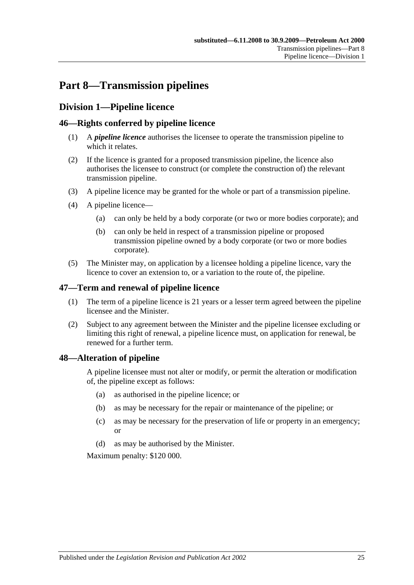# <span id="page-24-0"></span>**Part 8—Transmission pipelines**

# <span id="page-24-1"></span>**Division 1—Pipeline licence**

# <span id="page-24-2"></span>**46—Rights conferred by pipeline licence**

- (1) A *pipeline licence* authorises the licensee to operate the transmission pipeline to which it relates.
- (2) If the licence is granted for a proposed transmission pipeline, the licence also authorises the licensee to construct (or complete the construction of) the relevant transmission pipeline.
- (3) A pipeline licence may be granted for the whole or part of a transmission pipeline.
- (4) A pipeline licence—
	- (a) can only be held by a body corporate (or two or more bodies corporate); and
	- (b) can only be held in respect of a transmission pipeline or proposed transmission pipeline owned by a body corporate (or two or more bodies corporate).
- (5) The Minister may, on application by a licensee holding a pipeline licence, vary the licence to cover an extension to, or a variation to the route of, the pipeline.

# <span id="page-24-3"></span>**47—Term and renewal of pipeline licence**

- (1) The term of a pipeline licence is 21 years or a lesser term agreed between the pipeline licensee and the Minister.
- (2) Subject to any agreement between the Minister and the pipeline licensee excluding or limiting this right of renewal, a pipeline licence must, on application for renewal, be renewed for a further term.

# <span id="page-24-4"></span>**48—Alteration of pipeline**

A pipeline licensee must not alter or modify, or permit the alteration or modification of, the pipeline except as follows:

- (a) as authorised in the pipeline licence; or
- (b) as may be necessary for the repair or maintenance of the pipeline; or
- (c) as may be necessary for the preservation of life or property in an emergency; or
- (d) as may be authorised by the Minister.

Maximum penalty: \$120 000.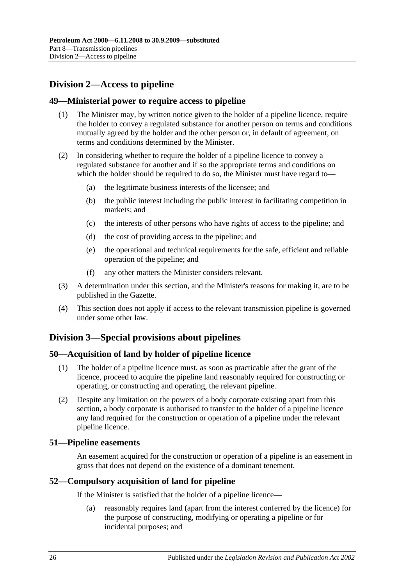# <span id="page-25-0"></span>**Division 2—Access to pipeline**

# <span id="page-25-1"></span>**49—Ministerial power to require access to pipeline**

- (1) The Minister may, by written notice given to the holder of a pipeline licence, require the holder to convey a regulated substance for another person on terms and conditions mutually agreed by the holder and the other person or, in default of agreement, on terms and conditions determined by the Minister.
- (2) In considering whether to require the holder of a pipeline licence to convey a regulated substance for another and if so the appropriate terms and conditions on which the holder should be required to do so, the Minister must have regard to—
	- (a) the legitimate business interests of the licensee; and
	- (b) the public interest including the public interest in facilitating competition in markets; and
	- (c) the interests of other persons who have rights of access to the pipeline; and
	- (d) the cost of providing access to the pipeline; and
	- (e) the operational and technical requirements for the safe, efficient and reliable operation of the pipeline; and
	- (f) any other matters the Minister considers relevant.
- (3) A determination under this section, and the Minister's reasons for making it, are to be published in the Gazette.
- (4) This section does not apply if access to the relevant transmission pipeline is governed under some other law.

# <span id="page-25-2"></span>**Division 3—Special provisions about pipelines**

# <span id="page-25-3"></span>**50—Acquisition of land by holder of pipeline licence**

- (1) The holder of a pipeline licence must, as soon as practicable after the grant of the licence, proceed to acquire the pipeline land reasonably required for constructing or operating, or constructing and operating, the relevant pipeline.
- (2) Despite any limitation on the powers of a body corporate existing apart from this section, a body corporate is authorised to transfer to the holder of a pipeline licence any land required for the construction or operation of a pipeline under the relevant pipeline licence.

# <span id="page-25-4"></span>**51—Pipeline easements**

An easement acquired for the construction or operation of a pipeline is an easement in gross that does not depend on the existence of a dominant tenement.

# <span id="page-25-5"></span>**52—Compulsory acquisition of land for pipeline**

If the Minister is satisfied that the holder of a pipeline licence—

(a) reasonably requires land (apart from the interest conferred by the licence) for the purpose of constructing, modifying or operating a pipeline or for incidental purposes; and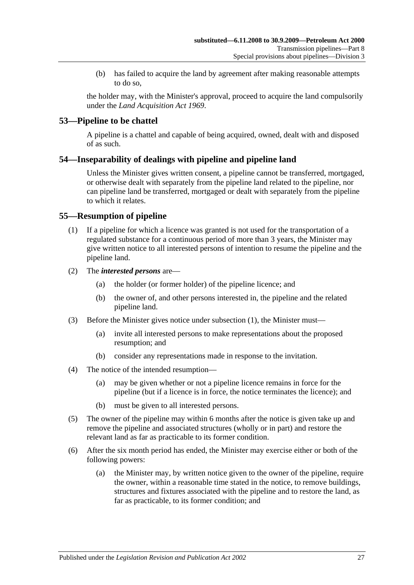(b) has failed to acquire the land by agreement after making reasonable attempts to do so,

the holder may, with the Minister's approval, proceed to acquire the land compulsorily under the *[Land Acquisition Act](http://www.legislation.sa.gov.au/index.aspx?action=legref&type=act&legtitle=Land%20Acquisition%20Act%201969) 1969*.

# <span id="page-26-0"></span>**53—Pipeline to be chattel**

A pipeline is a chattel and capable of being acquired, owned, dealt with and disposed of as such.

# <span id="page-26-1"></span>**54—Inseparability of dealings with pipeline and pipeline land**

Unless the Minister gives written consent, a pipeline cannot be transferred, mortgaged, or otherwise dealt with separately from the pipeline land related to the pipeline, nor can pipeline land be transferred, mortgaged or dealt with separately from the pipeline to which it relates.

# <span id="page-26-3"></span><span id="page-26-2"></span>**55—Resumption of pipeline**

- (1) If a pipeline for which a licence was granted is not used for the transportation of a regulated substance for a continuous period of more than 3 years, the Minister may give written notice to all interested persons of intention to resume the pipeline and the pipeline land.
- (2) The *interested persons* are—
	- (a) the holder (or former holder) of the pipeline licence; and
	- (b) the owner of, and other persons interested in, the pipeline and the related pipeline land.
- (3) Before the Minister gives notice under [subsection](#page-26-3) (1), the Minister must—
	- (a) invite all interested persons to make representations about the proposed resumption; and
	- (b) consider any representations made in response to the invitation.
- (4) The notice of the intended resumption—
	- (a) may be given whether or not a pipeline licence remains in force for the pipeline (but if a licence is in force, the notice terminates the licence); and
	- (b) must be given to all interested persons.
- (5) The owner of the pipeline may within 6 months after the notice is given take up and remove the pipeline and associated structures (wholly or in part) and restore the relevant land as far as practicable to its former condition.
- <span id="page-26-4"></span>(6) After the six month period has ended, the Minister may exercise either or both of the following powers:
	- (a) the Minister may, by written notice given to the owner of the pipeline, require the owner, within a reasonable time stated in the notice, to remove buildings, structures and fixtures associated with the pipeline and to restore the land, as far as practicable, to its former condition; and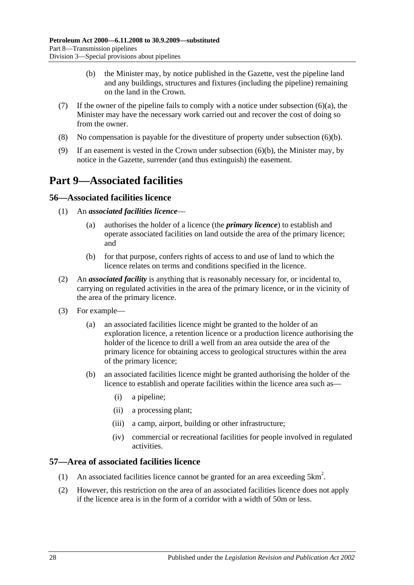- (b) the Minister may, by notice published in the Gazette, vest the pipeline land and any buildings, structures and fixtures (including the pipeline) remaining on the land in the Crown.
- <span id="page-27-4"></span>(7) If the owner of the pipeline fails to comply with a notice under [subsection](#page-26-4)  $(6)(a)$ , the Minister may have the necessary work carried out and recover the cost of doing so from the owner.
- (8) No compensation is payable for the divestiture of property under [subsection](#page-27-4) (6)(b).
- (9) If an easement is vested in the Crown under [subsection](#page-27-4) (6)(b), the Minister may, by notice in the Gazette, surrender (and thus extinguish) the easement.

# <span id="page-27-0"></span>**Part 9—Associated facilities**

# <span id="page-27-1"></span>**56—Associated facilities licence**

- (1) An *associated facilities licence*
	- (a) authorises the holder of a licence (the *primary licence*) to establish and operate associated facilities on land outside the area of the primary licence; and
	- (b) for that purpose, confers rights of access to and use of land to which the licence relates on terms and conditions specified in the licence.
- <span id="page-27-3"></span>(2) An *associated facility* is anything that is reasonably necessary for, or incidental to, carrying on regulated activities in the area of the primary licence, or in the vicinity of the area of the primary licence.
- (3) For example—
	- (a) an associated facilities licence might be granted to the holder of an exploration licence, a retention licence or a production licence authorising the holder of the licence to drill a well from an area outside the area of the primary licence for obtaining access to geological structures within the area of the primary licence;
	- (b) an associated facilities licence might be granted authorising the holder of the licence to establish and operate facilities within the licence area such as—
		- (i) a pipeline;
		- (ii) a processing plant;
		- (iii) a camp, airport, building or other infrastructure;
		- (iv) commercial or recreational facilities for people involved in regulated activities.

# <span id="page-27-2"></span>**57—Area of associated facilities licence**

- (1) An associated facilities licence cannot be granted for an area exceeding  $5 \text{km}^2$ .
- (2) However, this restriction on the area of an associated facilities licence does not apply if the licence area is in the form of a corridor with a width of 50m or less.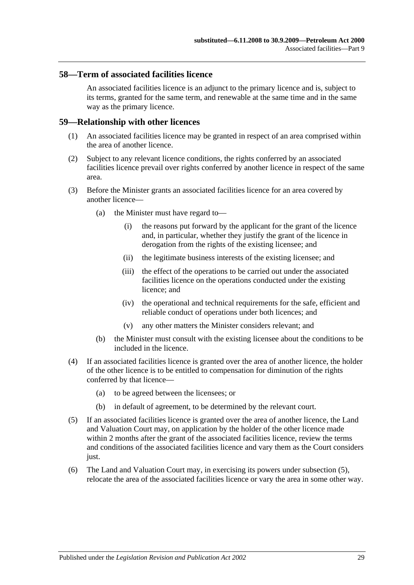#### <span id="page-28-0"></span>**58—Term of associated facilities licence**

An associated facilities licence is an adjunct to the primary licence and is, subject to its terms, granted for the same term, and renewable at the same time and in the same way as the primary licence.

#### <span id="page-28-1"></span>**59—Relationship with other licences**

- (1) An associated facilities licence may be granted in respect of an area comprised within the area of another licence.
- (2) Subject to any relevant licence conditions, the rights conferred by an associated facilities licence prevail over rights conferred by another licence in respect of the same area.
- (3) Before the Minister grants an associated facilities licence for an area covered by another licence—
	- (a) the Minister must have regard to—
		- (i) the reasons put forward by the applicant for the grant of the licence and, in particular, whether they justify the grant of the licence in derogation from the rights of the existing licensee; and
		- (ii) the legitimate business interests of the existing licensee; and
		- (iii) the effect of the operations to be carried out under the associated facilities licence on the operations conducted under the existing licence; and
		- (iv) the operational and technical requirements for the safe, efficient and reliable conduct of operations under both licences; and
		- (v) any other matters the Minister considers relevant; and
	- (b) the Minister must consult with the existing licensee about the conditions to be included in the licence.
- (4) If an associated facilities licence is granted over the area of another licence, the holder of the other licence is to be entitled to compensation for diminution of the rights conferred by that licence—
	- (a) to be agreed between the licensees; or
	- (b) in default of agreement, to be determined by the relevant court.
- <span id="page-28-2"></span>(5) If an associated facilities licence is granted over the area of another licence, the Land and Valuation Court may, on application by the holder of the other licence made within 2 months after the grant of the associated facilities licence, review the terms and conditions of the associated facilities licence and vary them as the Court considers just.
- (6) The Land and Valuation Court may, in exercising its powers under [subsection](#page-28-2) (5), relocate the area of the associated facilities licence or vary the area in some other way.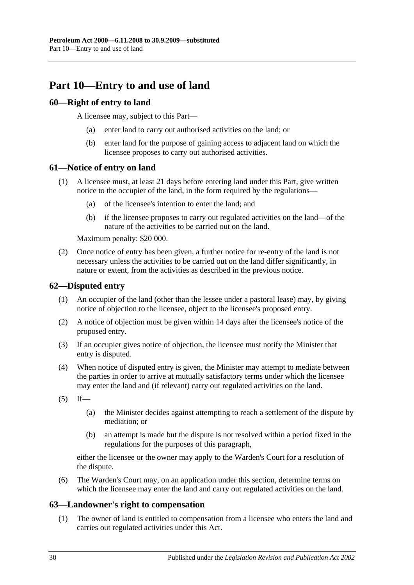# <span id="page-29-0"></span>**Part 10—Entry to and use of land**

# <span id="page-29-1"></span>**60—Right of entry to land**

A licensee may, subject to this Part—

- (a) enter land to carry out authorised activities on the land; or
- (b) enter land for the purpose of gaining access to adjacent land on which the licensee proposes to carry out authorised activities.

# <span id="page-29-2"></span>**61—Notice of entry on land**

- (1) A licensee must, at least 21 days before entering land under this Part, give written notice to the occupier of the land, in the form required by the regulations—
	- (a) of the licensee's intention to enter the land; and
	- (b) if the licensee proposes to carry out regulated activities on the land—of the nature of the activities to be carried out on the land.

Maximum penalty: \$20 000.

(2) Once notice of entry has been given, a further notice for re-entry of the land is not necessary unless the activities to be carried out on the land differ significantly, in nature or extent, from the activities as described in the previous notice.

# <span id="page-29-3"></span>**62—Disputed entry**

- (1) An occupier of the land (other than the lessee under a pastoral lease) may, by giving notice of objection to the licensee, object to the licensee's proposed entry.
- (2) A notice of objection must be given within 14 days after the licensee's notice of the proposed entry.
- (3) If an occupier gives notice of objection, the licensee must notify the Minister that entry is disputed.
- (4) When notice of disputed entry is given, the Minister may attempt to mediate between the parties in order to arrive at mutually satisfactory terms under which the licensee may enter the land and (if relevant) carry out regulated activities on the land.
- $(5)$  If—
	- (a) the Minister decides against attempting to reach a settlement of the dispute by mediation; or
	- (b) an attempt is made but the dispute is not resolved within a period fixed in the regulations for the purposes of this paragraph,

either the licensee or the owner may apply to the Warden's Court for a resolution of the dispute.

(6) The Warden's Court may, on an application under this section, determine terms on which the licensee may enter the land and carry out regulated activities on the land.

# <span id="page-29-4"></span>**63—Landowner's right to compensation**

(1) The owner of land is entitled to compensation from a licensee who enters the land and carries out regulated activities under this Act.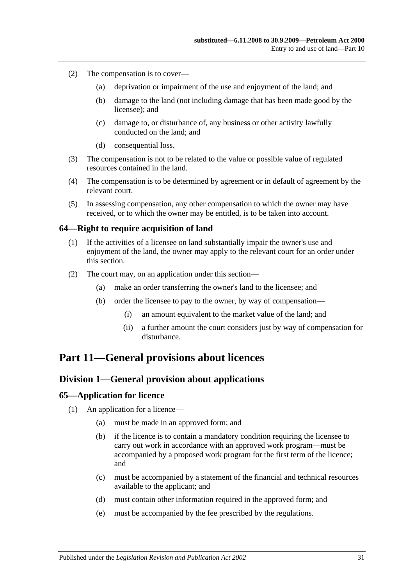- (2) The compensation is to cover—
	- (a) deprivation or impairment of the use and enjoyment of the land; and
	- (b) damage to the land (not including damage that has been made good by the licensee); and
	- (c) damage to, or disturbance of, any business or other activity lawfully conducted on the land; and
	- (d) consequential loss.
- (3) The compensation is not to be related to the value or possible value of regulated resources contained in the land.
- (4) The compensation is to be determined by agreement or in default of agreement by the relevant court.
- (5) In assessing compensation, any other compensation to which the owner may have received, or to which the owner may be entitled, is to be taken into account.

### <span id="page-30-0"></span>**64—Right to require acquisition of land**

- (1) If the activities of a licensee on land substantially impair the owner's use and enjoyment of the land, the owner may apply to the relevant court for an order under this section.
- (2) The court may, on an application under this section—
	- (a) make an order transferring the owner's land to the licensee; and
	- (b) order the licensee to pay to the owner, by way of compensation—
		- (i) an amount equivalent to the market value of the land; and
		- (ii) a further amount the court considers just by way of compensation for disturbance.

# <span id="page-30-2"></span><span id="page-30-1"></span>**Part 11—General provisions about licences**

# **Division 1—General provision about applications**

#### <span id="page-30-3"></span>**65—Application for licence**

- (1) An application for a licence—
	- (a) must be made in an approved form; and
	- (b) if the licence is to contain a mandatory condition requiring the licensee to carry out work in accordance with an approved work program—must be accompanied by a proposed work program for the first term of the licence; and
	- (c) must be accompanied by a statement of the financial and technical resources available to the applicant; and
	- (d) must contain other information required in the approved form; and
	- (e) must be accompanied by the fee prescribed by the regulations.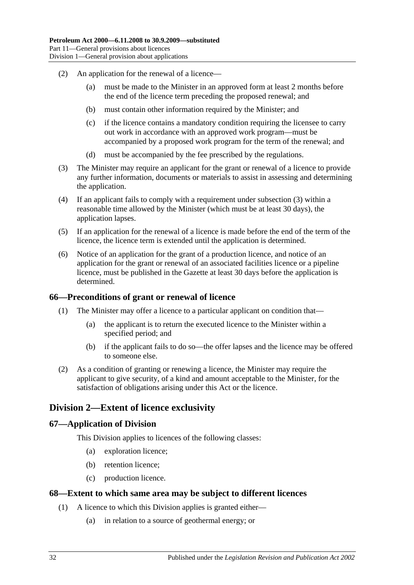- (2) An application for the renewal of a licence—
	- (a) must be made to the Minister in an approved form at least 2 months before the end of the licence term preceding the proposed renewal; and
	- (b) must contain other information required by the Minister; and
	- (c) if the licence contains a mandatory condition requiring the licensee to carry out work in accordance with an approved work program—must be accompanied by a proposed work program for the term of the renewal; and
	- (d) must be accompanied by the fee prescribed by the regulations.
- <span id="page-31-4"></span>(3) The Minister may require an applicant for the grant or renewal of a licence to provide any further information, documents or materials to assist in assessing and determining the application.
- (4) If an applicant fails to comply with a requirement under [subsection](#page-31-4) (3) within a reasonable time allowed by the Minister (which must be at least 30 days), the application lapses.
- (5) If an application for the renewal of a licence is made before the end of the term of the licence, the licence term is extended until the application is determined.
- (6) Notice of an application for the grant of a production licence, and notice of an application for the grant or renewal of an associated facilities licence or a pipeline licence, must be published in the Gazette at least 30 days before the application is determined.

#### <span id="page-31-0"></span>**66—Preconditions of grant or renewal of licence**

- (1) The Minister may offer a licence to a particular applicant on condition that—
	- (a) the applicant is to return the executed licence to the Minister within a specified period; and
	- (b) if the applicant fails to do so—the offer lapses and the licence may be offered to someone else.
- (2) As a condition of granting or renewing a licence, the Minister may require the applicant to give security, of a kind and amount acceptable to the Minister, for the satisfaction of obligations arising under this Act or the licence.

# <span id="page-31-1"></span>**Division 2—Extent of licence exclusivity**

# <span id="page-31-2"></span>**67—Application of Division**

This Division applies to licences of the following classes:

- (a) exploration licence;
- (b) retention licence;
- (c) production licence.

#### <span id="page-31-3"></span>**68—Extent to which same area may be subject to different licences**

- (1) A licence to which this Division applies is granted either—
	- (a) in relation to a source of geothermal energy; or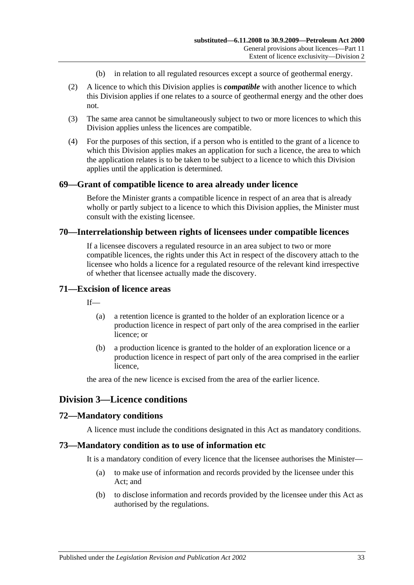- (b) in relation to all regulated resources except a source of geothermal energy.
- (2) A licence to which this Division applies is *compatible* with another licence to which this Division applies if one relates to a source of geothermal energy and the other does not.
- (3) The same area cannot be simultaneously subject to two or more licences to which this Division applies unless the licences are compatible.
- (4) For the purposes of this section, if a person who is entitled to the grant of a licence to which this Division applies makes an application for such a licence, the area to which the application relates is to be taken to be subject to a licence to which this Division applies until the application is determined.

#### <span id="page-32-0"></span>**69—Grant of compatible licence to area already under licence**

Before the Minister grants a compatible licence in respect of an area that is already wholly or partly subject to a licence to which this Division applies, the Minister must consult with the existing licensee.

#### <span id="page-32-1"></span>**70—Interrelationship between rights of licensees under compatible licences**

If a licensee discovers a regulated resource in an area subject to two or more compatible licences, the rights under this Act in respect of the discovery attach to the licensee who holds a licence for a regulated resource of the relevant kind irrespective of whether that licensee actually made the discovery.

#### <span id="page-32-2"></span>**71—Excision of licence areas**

 $If$ <sub> $\equiv$ </sub>

- (a) a retention licence is granted to the holder of an exploration licence or a production licence in respect of part only of the area comprised in the earlier licence; or
- (b) a production licence is granted to the holder of an exploration licence or a production licence in respect of part only of the area comprised in the earlier licence,

the area of the new licence is excised from the area of the earlier licence.

# <span id="page-32-3"></span>**Division 3—Licence conditions**

#### <span id="page-32-4"></span>**72—Mandatory conditions**

A licence must include the conditions designated in this Act as mandatory conditions.

#### <span id="page-32-5"></span>**73—Mandatory condition as to use of information etc**

It is a mandatory condition of every licence that the licensee authorises the Minister—

- (a) to make use of information and records provided by the licensee under this Act; and
- (b) to disclose information and records provided by the licensee under this Act as authorised by the regulations.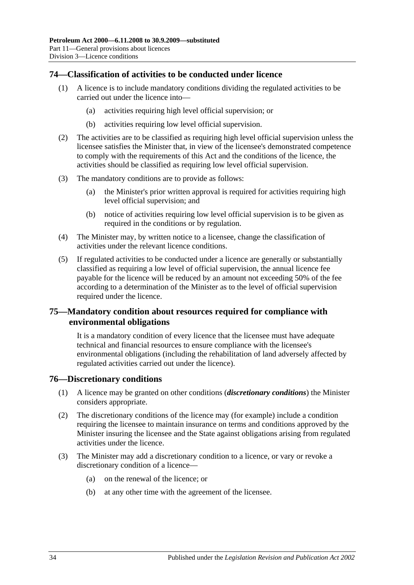# <span id="page-33-0"></span>**74—Classification of activities to be conducted under licence**

- (1) A licence is to include mandatory conditions dividing the regulated activities to be carried out under the licence into—
	- (a) activities requiring high level official supervision; or
	- (b) activities requiring low level official supervision.
- (2) The activities are to be classified as requiring high level official supervision unless the licensee satisfies the Minister that, in view of the licensee's demonstrated competence to comply with the requirements of this Act and the conditions of the licence, the activities should be classified as requiring low level official supervision.
- (3) The mandatory conditions are to provide as follows:
	- (a) the Minister's prior written approval is required for activities requiring high level official supervision; and
	- (b) notice of activities requiring low level official supervision is to be given as required in the conditions or by regulation.
- <span id="page-33-3"></span>(4) The Minister may, by written notice to a licensee, change the classification of activities under the relevant licence conditions.
- (5) If regulated activities to be conducted under a licence are generally or substantially classified as requiring a low level of official supervision, the annual licence fee payable for the licence will be reduced by an amount not exceeding 50% of the fee according to a determination of the Minister as to the level of official supervision required under the licence.

# <span id="page-33-1"></span>**75—Mandatory condition about resources required for compliance with environmental obligations**

It is a mandatory condition of every licence that the licensee must have adequate technical and financial resources to ensure compliance with the licensee's environmental obligations (including the rehabilitation of land adversely affected by regulated activities carried out under the licence).

#### <span id="page-33-2"></span>**76—Discretionary conditions**

- (1) A licence may be granted on other conditions (*discretionary conditions*) the Minister considers appropriate.
- (2) The discretionary conditions of the licence may (for example) include a condition requiring the licensee to maintain insurance on terms and conditions approved by the Minister insuring the licensee and the State against obligations arising from regulated activities under the licence.
- (3) The Minister may add a discretionary condition to a licence, or vary or revoke a discretionary condition of a licence—
	- (a) on the renewal of the licence; or
	- (b) at any other time with the agreement of the licensee.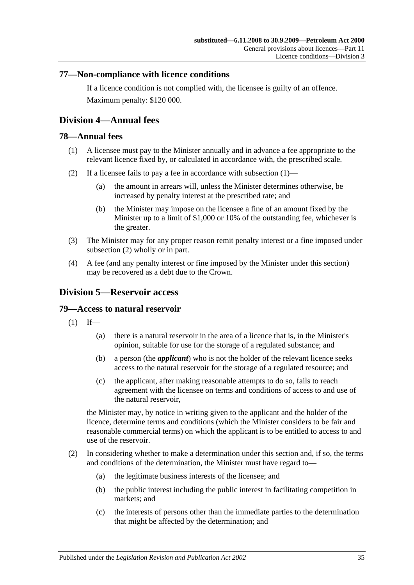# <span id="page-34-0"></span>**77—Non-compliance with licence conditions**

If a licence condition is not complied with, the licensee is guilty of an offence. Maximum penalty: \$120 000.

# <span id="page-34-1"></span>**Division 4—Annual fees**

# <span id="page-34-5"></span><span id="page-34-2"></span>**78—Annual fees**

- (1) A licensee must pay to the Minister annually and in advance a fee appropriate to the relevant licence fixed by, or calculated in accordance with, the prescribed scale.
- <span id="page-34-6"></span>(2) If a licensee fails to pay a fee in accordance with [subsection](#page-34-5)  $(1)$ —
	- (a) the amount in arrears will, unless the Minister determines otherwise, be increased by penalty interest at the prescribed rate; and
	- (b) the Minister may impose on the licensee a fine of an amount fixed by the Minister up to a limit of \$1,000 or 10% of the outstanding fee, whichever is the greater.
- (3) The Minister may for any proper reason remit penalty interest or a fine imposed under [subsection](#page-34-6) (2) wholly or in part.
- (4) A fee (and any penalty interest or fine imposed by the Minister under this section) may be recovered as a debt due to the Crown.

# <span id="page-34-3"></span>**Division 5—Reservoir access**

# <span id="page-34-4"></span>**79—Access to natural reservoir**

- $(1)$  If—
	- (a) there is a natural reservoir in the area of a licence that is, in the Minister's opinion, suitable for use for the storage of a regulated substance; and
	- (b) a person (the *applicant*) who is not the holder of the relevant licence seeks access to the natural reservoir for the storage of a regulated resource; and
	- (c) the applicant, after making reasonable attempts to do so, fails to reach agreement with the licensee on terms and conditions of access to and use of the natural reservoir,

the Minister may, by notice in writing given to the applicant and the holder of the licence, determine terms and conditions (which the Minister considers to be fair and reasonable commercial terms) on which the applicant is to be entitled to access to and use of the reservoir.

- (2) In considering whether to make a determination under this section and, if so, the terms and conditions of the determination, the Minister must have regard to—
	- (a) the legitimate business interests of the licensee; and
	- (b) the public interest including the public interest in facilitating competition in markets; and
	- (c) the interests of persons other than the immediate parties to the determination that might be affected by the determination; and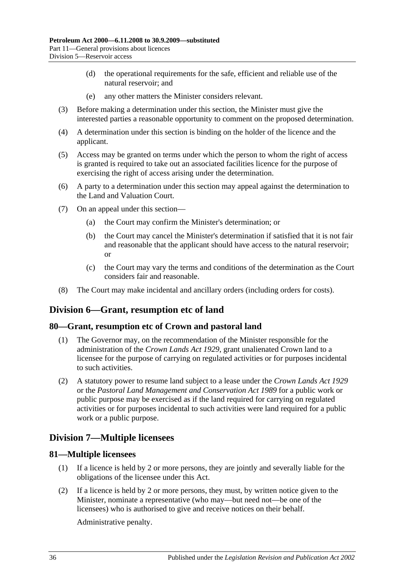- (d) the operational requirements for the safe, efficient and reliable use of the natural reservoir; and
- (e) any other matters the Minister considers relevant.
- (3) Before making a determination under this section, the Minister must give the interested parties a reasonable opportunity to comment on the proposed determination.
- (4) A determination under this section is binding on the holder of the licence and the applicant.
- (5) Access may be granted on terms under which the person to whom the right of access is granted is required to take out an associated facilities licence for the purpose of exercising the right of access arising under the determination.
- (6) A party to a determination under this section may appeal against the determination to the Land and Valuation Court.
- (7) On an appeal under this section—
	- (a) the Court may confirm the Minister's determination; or
	- (b) the Court may cancel the Minister's determination if satisfied that it is not fair and reasonable that the applicant should have access to the natural reservoir; or
	- (c) the Court may vary the terms and conditions of the determination as the Court considers fair and reasonable.
- (8) The Court may make incidental and ancillary orders (including orders for costs).

# <span id="page-35-0"></span>**Division 6—Grant, resumption etc of land**

#### <span id="page-35-1"></span>**80—Grant, resumption etc of Crown and pastoral land**

- (1) The Governor may, on the recommendation of the Minister responsible for the administration of the *[Crown Lands Act](http://www.legislation.sa.gov.au/index.aspx?action=legref&type=act&legtitle=Crown%20Lands%20Act%201929) 1929*, grant unalienated Crown land to a licensee for the purpose of carrying on regulated activities or for purposes incidental to such activities.
- (2) A statutory power to resume land subject to a lease under the *[Crown Lands Act](http://www.legislation.sa.gov.au/index.aspx?action=legref&type=act&legtitle=Crown%20Lands%20Act%201929) 1929* or the *[Pastoral Land Management and Conservation Act](http://www.legislation.sa.gov.au/index.aspx?action=legref&type=act&legtitle=Pastoral%20Land%20Management%20and%20Conservation%20Act%201989) 1989* for a public work or public purpose may be exercised as if the land required for carrying on regulated activities or for purposes incidental to such activities were land required for a public work or a public purpose.

# <span id="page-35-2"></span>**Division 7—Multiple licensees**

#### <span id="page-35-3"></span>**81—Multiple licensees**

- (1) If a licence is held by 2 or more persons, they are jointly and severally liable for the obligations of the licensee under this Act.
- (2) If a licence is held by 2 or more persons, they must, by written notice given to the Minister, nominate a representative (who may—but need not—be one of the licensees) who is authorised to give and receive notices on their behalf.

Administrative penalty.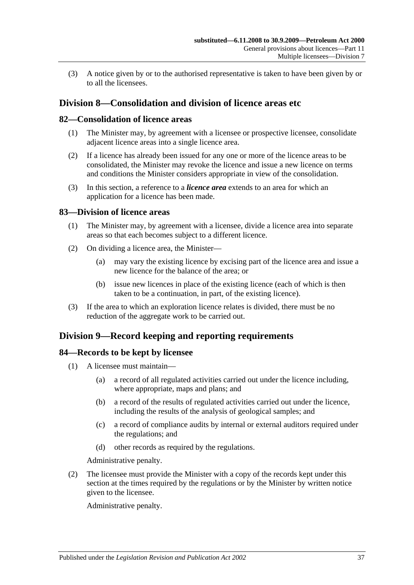(3) A notice given by or to the authorised representative is taken to have been given by or to all the licensees.

# <span id="page-36-0"></span>**Division 8—Consolidation and division of licence areas etc**

### <span id="page-36-1"></span>**82—Consolidation of licence areas**

- (1) The Minister may, by agreement with a licensee or prospective licensee, consolidate adjacent licence areas into a single licence area.
- (2) If a licence has already been issued for any one or more of the licence areas to be consolidated, the Minister may revoke the licence and issue a new licence on terms and conditions the Minister considers appropriate in view of the consolidation.
- (3) In this section, a reference to a *licence area* extends to an area for which an application for a licence has been made.

### <span id="page-36-2"></span>**83—Division of licence areas**

- (1) The Minister may, by agreement with a licensee, divide a licence area into separate areas so that each becomes subject to a different licence.
- (2) On dividing a licence area, the Minister—
	- (a) may vary the existing licence by excising part of the licence area and issue a new licence for the balance of the area; or
	- (b) issue new licences in place of the existing licence (each of which is then taken to be a continuation, in part, of the existing licence).
- (3) If the area to which an exploration licence relates is divided, there must be no reduction of the aggregate work to be carried out.

# <span id="page-36-3"></span>**Division 9—Record keeping and reporting requirements**

#### <span id="page-36-4"></span>**84—Records to be kept by licensee**

- (1) A licensee must maintain—
	- (a) a record of all regulated activities carried out under the licence including, where appropriate, maps and plans; and
	- (b) a record of the results of regulated activities carried out under the licence, including the results of the analysis of geological samples; and
	- (c) a record of compliance audits by internal or external auditors required under the regulations; and
	- (d) other records as required by the regulations.

Administrative penalty.

(2) The licensee must provide the Minister with a copy of the records kept under this section at the times required by the regulations or by the Minister by written notice given to the licensee.

Administrative penalty.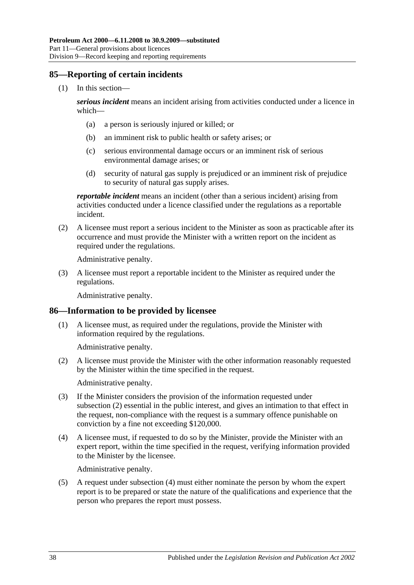# <span id="page-37-0"></span>**85—Reporting of certain incidents**

(1) In this section—

*serious incident* means an incident arising from activities conducted under a licence in which—

- (a) a person is seriously injured or killed; or
- (b) an imminent risk to public health or safety arises; or
- (c) serious environmental damage occurs or an imminent risk of serious environmental damage arises; or
- (d) security of natural gas supply is prejudiced or an imminent risk of prejudice to security of natural gas supply arises.

*reportable incident* means an incident (other than a serious incident) arising from activities conducted under a licence classified under the regulations as a reportable incident.

(2) A licensee must report a serious incident to the Minister as soon as practicable after its occurrence and must provide the Minister with a written report on the incident as required under the regulations.

Administrative penalty.

(3) A licensee must report a reportable incident to the Minister as required under the regulations.

Administrative penalty.

# <span id="page-37-1"></span>**86—Information to be provided by licensee**

(1) A licensee must, as required under the regulations, provide the Minister with information required by the regulations.

Administrative penalty.

<span id="page-37-2"></span>(2) A licensee must provide the Minister with the other information reasonably requested by the Minister within the time specified in the request.

Administrative penalty.

- (3) If the Minister considers the provision of the information requested under [subsection](#page-37-2) (2) essential in the public interest, and gives an intimation to that effect in the request, non-compliance with the request is a summary offence punishable on conviction by a fine not exceeding \$120,000.
- <span id="page-37-3"></span>(4) A licensee must, if requested to do so by the Minister, provide the Minister with an expert report, within the time specified in the request, verifying information provided to the Minister by the licensee.

Administrative penalty.

(5) A request under [subsection](#page-37-3) (4) must either nominate the person by whom the expert report is to be prepared or state the nature of the qualifications and experience that the person who prepares the report must possess.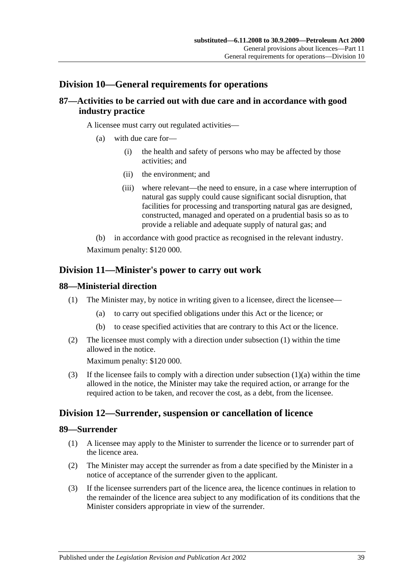# <span id="page-38-0"></span>**Division 10—General requirements for operations**

# <span id="page-38-1"></span>**87—Activities to be carried out with due care and in accordance with good industry practice**

A licensee must carry out regulated activities—

- (a) with due care for—
	- (i) the health and safety of persons who may be affected by those activities; and
	- (ii) the environment; and
	- (iii) where relevant—the need to ensure, in a case where interruption of natural gas supply could cause significant social disruption, that facilities for processing and transporting natural gas are designed, constructed, managed and operated on a prudential basis so as to provide a reliable and adequate supply of natural gas; and
- (b) in accordance with good practice as recognised in the relevant industry.

Maximum penalty: \$120 000.

# <span id="page-38-2"></span>**Division 11—Minister's power to carry out work**

### <span id="page-38-6"></span><span id="page-38-3"></span>**88—Ministerial direction**

- <span id="page-38-7"></span>(1) The Minister may, by notice in writing given to a licensee, direct the licensee—
	- (a) to carry out specified obligations under this Act or the licence; or
	- (b) to cease specified activities that are contrary to this Act or the licence.
- (2) The licensee must comply with a direction under [subsection](#page-38-6) (1) within the time allowed in the notice.

Maximum penalty: \$120 000.

(3) If the licensee fails to comply with a direction under [subsection](#page-38-7) (1)(a) within the time allowed in the notice, the Minister may take the required action, or arrange for the required action to be taken, and recover the cost, as a debt, from the licensee.

# <span id="page-38-4"></span>**Division 12—Surrender, suspension or cancellation of licence**

#### <span id="page-38-5"></span>**89—Surrender**

- (1) A licensee may apply to the Minister to surrender the licence or to surrender part of the licence area.
- (2) The Minister may accept the surrender as from a date specified by the Minister in a notice of acceptance of the surrender given to the applicant.
- (3) If the licensee surrenders part of the licence area, the licence continues in relation to the remainder of the licence area subject to any modification of its conditions that the Minister considers appropriate in view of the surrender.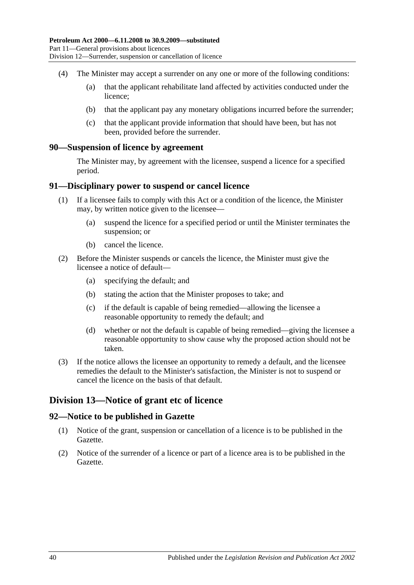- (4) The Minister may accept a surrender on any one or more of the following conditions:
	- (a) that the applicant rehabilitate land affected by activities conducted under the licence;
	- (b) that the applicant pay any monetary obligations incurred before the surrender;
	- (c) that the applicant provide information that should have been, but has not been, provided before the surrender.

#### <span id="page-39-0"></span>**90—Suspension of licence by agreement**

The Minister may, by agreement with the licensee, suspend a licence for a specified period.

#### <span id="page-39-1"></span>**91—Disciplinary power to suspend or cancel licence**

- (1) If a licensee fails to comply with this Act or a condition of the licence, the Minister may, by written notice given to the licensee—
	- (a) suspend the licence for a specified period or until the Minister terminates the suspension; or
	- (b) cancel the licence.
- (2) Before the Minister suspends or cancels the licence, the Minister must give the licensee a notice of default—
	- (a) specifying the default; and
	- (b) stating the action that the Minister proposes to take; and
	- (c) if the default is capable of being remedied—allowing the licensee a reasonable opportunity to remedy the default; and
	- (d) whether or not the default is capable of being remedied—giving the licensee a reasonable opportunity to show cause why the proposed action should not be taken.
- (3) If the notice allows the licensee an opportunity to remedy a default, and the licensee remedies the default to the Minister's satisfaction, the Minister is not to suspend or cancel the licence on the basis of that default.

# <span id="page-39-2"></span>**Division 13—Notice of grant etc of licence**

#### <span id="page-39-3"></span>**92—Notice to be published in Gazette**

- (1) Notice of the grant, suspension or cancellation of a licence is to be published in the Gazette.
- (2) Notice of the surrender of a licence or part of a licence area is to be published in the Gazette.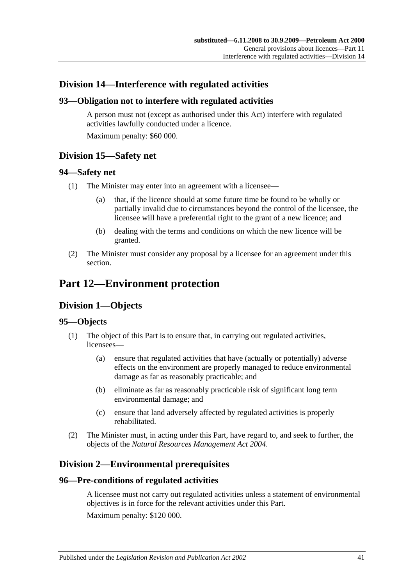# <span id="page-40-0"></span>**Division 14—Interference with regulated activities**

# <span id="page-40-1"></span>**93—Obligation not to interfere with regulated activities**

A person must not (except as authorised under this Act) interfere with regulated activities lawfully conducted under a licence. Maximum penalty: \$60 000.

<span id="page-40-2"></span>**Division 15—Safety net**

# <span id="page-40-3"></span>**94—Safety net**

- (1) The Minister may enter into an agreement with a licensee—
	- (a) that, if the licence should at some future time be found to be wholly or partially invalid due to circumstances beyond the control of the licensee, the licensee will have a preferential right to the grant of a new licence; and
	- (b) dealing with the terms and conditions on which the new licence will be granted.
- (2) The Minister must consider any proposal by a licensee for an agreement under this section.

# <span id="page-40-5"></span><span id="page-40-4"></span>**Part 12—Environment protection**

# **Division 1—Objects**

# <span id="page-40-6"></span>**95—Objects**

- (1) The object of this Part is to ensure that, in carrying out regulated activities, licensees—
	- (a) ensure that regulated activities that have (actually or potentially) adverse effects on the environment are properly managed to reduce environmental damage as far as reasonably practicable; and
	- (b) eliminate as far as reasonably practicable risk of significant long term environmental damage; and
	- (c) ensure that land adversely affected by regulated activities is properly rehabilitated.
- (2) The Minister must, in acting under this Part, have regard to, and seek to further, the objects of the *[Natural Resources Management Act](http://www.legislation.sa.gov.au/index.aspx?action=legref&type=act&legtitle=Natural%20Resources%20Management%20Act%202004) 2004*.

# <span id="page-40-7"></span>**Division 2—Environmental prerequisites**

# <span id="page-40-8"></span>**96—Pre-conditions of regulated activities**

A licensee must not carry out regulated activities unless a statement of environmental objectives is in force for the relevant activities under this Part. Maximum penalty: \$120 000.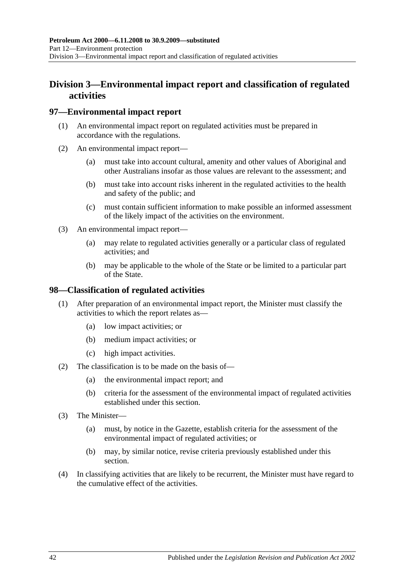# <span id="page-41-0"></span>**Division 3—Environmental impact report and classification of regulated activities**

### <span id="page-41-1"></span>**97—Environmental impact report**

- (1) An environmental impact report on regulated activities must be prepared in accordance with the regulations.
- (2) An environmental impact report—
	- (a) must take into account cultural, amenity and other values of Aboriginal and other Australians insofar as those values are relevant to the assessment; and
	- (b) must take into account risks inherent in the regulated activities to the health and safety of the public; and
	- (c) must contain sufficient information to make possible an informed assessment of the likely impact of the activities on the environment.
- (3) An environmental impact report—
	- (a) may relate to regulated activities generally or a particular class of regulated activities; and
	- (b) may be applicable to the whole of the State or be limited to a particular part of the State.

#### <span id="page-41-2"></span>**98—Classification of regulated activities**

- (1) After preparation of an environmental impact report, the Minister must classify the activities to which the report relates as—
	- (a) low impact activities; or
	- (b) medium impact activities; or
	- (c) high impact activities.
- (2) The classification is to be made on the basis of—
	- (a) the environmental impact report; and
	- (b) criteria for the assessment of the environmental impact of regulated activities established under this section.
- (3) The Minister—
	- (a) must, by notice in the Gazette, establish criteria for the assessment of the environmental impact of regulated activities; or
	- (b) may, by similar notice, revise criteria previously established under this section.
- (4) In classifying activities that are likely to be recurrent, the Minister must have regard to the cumulative effect of the activities.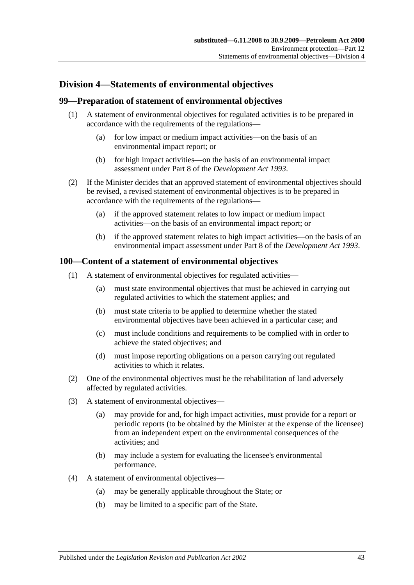# <span id="page-42-0"></span>**Division 4—Statements of environmental objectives**

### <span id="page-42-1"></span>**99—Preparation of statement of environmental objectives**

- (1) A statement of environmental objectives for regulated activities is to be prepared in accordance with the requirements of the regulations—
	- (a) for low impact or medium impact activities—on the basis of an environmental impact report; or
	- (b) for high impact activities—on the basis of an environmental impact assessment under Part 8 of the *[Development Act](http://www.legislation.sa.gov.au/index.aspx?action=legref&type=act&legtitle=Development%20Act%201993) 1993*.
- (2) If the Minister decides that an approved statement of environmental objectives should be revised, a revised statement of environmental objectives is to be prepared in accordance with the requirements of the regulations—
	- (a) if the approved statement relates to low impact or medium impact activities—on the basis of an environmental impact report; or
	- (b) if the approved statement relates to high impact activities—on the basis of an environmental impact assessment under Part 8 of the *[Development Act](http://www.legislation.sa.gov.au/index.aspx?action=legref&type=act&legtitle=Development%20Act%201993) 1993*.

### <span id="page-42-2"></span>**100—Content of a statement of environmental objectives**

- (1) A statement of environmental objectives for regulated activities—
	- (a) must state environmental objectives that must be achieved in carrying out regulated activities to which the statement applies; and
	- (b) must state criteria to be applied to determine whether the stated environmental objectives have been achieved in a particular case; and
	- (c) must include conditions and requirements to be complied with in order to achieve the stated objectives; and
	- (d) must impose reporting obligations on a person carrying out regulated activities to which it relates.
- (2) One of the environmental objectives must be the rehabilitation of land adversely affected by regulated activities.
- (3) A statement of environmental objectives—
	- (a) may provide for and, for high impact activities, must provide for a report or periodic reports (to be obtained by the Minister at the expense of the licensee) from an independent expert on the environmental consequences of the activities; and
	- (b) may include a system for evaluating the licensee's environmental performance.
- (4) A statement of environmental objectives—
	- (a) may be generally applicable throughout the State; or
	- (b) may be limited to a specific part of the State.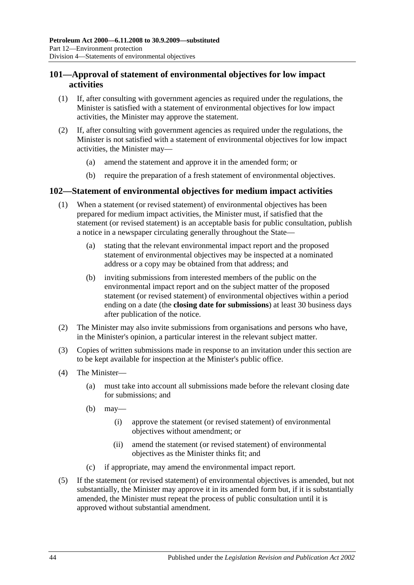# <span id="page-43-0"></span>**101—Approval of statement of environmental objectives for low impact activities**

- (1) If, after consulting with government agencies as required under the regulations, the Minister is satisfied with a statement of environmental objectives for low impact activities, the Minister may approve the statement.
- (2) If, after consulting with government agencies as required under the regulations, the Minister is not satisfied with a statement of environmental objectives for low impact activities, the Minister may—
	- (a) amend the statement and approve it in the amended form; or
	- (b) require the preparation of a fresh statement of environmental objectives.

# <span id="page-43-1"></span>**102—Statement of environmental objectives for medium impact activities**

- (1) When a statement (or revised statement) of environmental objectives has been prepared for medium impact activities, the Minister must, if satisfied that the statement (or revised statement) is an acceptable basis for public consultation, publish a notice in a newspaper circulating generally throughout the State—
	- (a) stating that the relevant environmental impact report and the proposed statement of environmental objectives may be inspected at a nominated address or a copy may be obtained from that address; and
	- (b) inviting submissions from interested members of the public on the environmental impact report and on the subject matter of the proposed statement (or revised statement) of environmental objectives within a period ending on a date (the **closing date for submissions**) at least 30 business days after publication of the notice.
- (2) The Minister may also invite submissions from organisations and persons who have, in the Minister's opinion, a particular interest in the relevant subject matter.
- (3) Copies of written submissions made in response to an invitation under this section are to be kept available for inspection at the Minister's public office.
- (4) The Minister—
	- (a) must take into account all submissions made before the relevant closing date for submissions; and
	- (b) may—
		- (i) approve the statement (or revised statement) of environmental objectives without amendment; or
		- (ii) amend the statement (or revised statement) of environmental objectives as the Minister thinks fit; and
	- (c) if appropriate, may amend the environmental impact report.
- (5) If the statement (or revised statement) of environmental objectives is amended, but not substantially, the Minister may approve it in its amended form but, if it is substantially amended, the Minister must repeat the process of public consultation until it is approved without substantial amendment.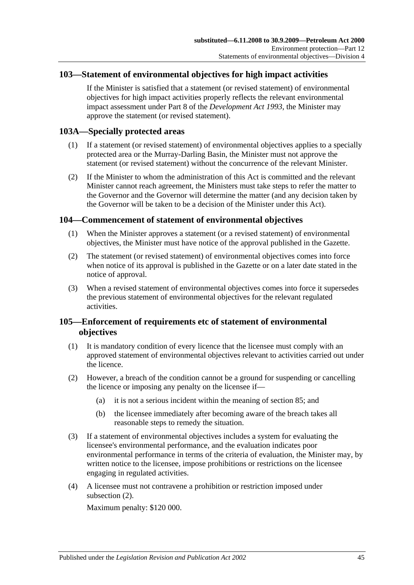# <span id="page-44-0"></span>**103—Statement of environmental objectives for high impact activities**

If the Minister is satisfied that a statement (or revised statement) of environmental objectives for high impact activities properly reflects the relevant environmental impact assessment under Part 8 of the *[Development Act](http://www.legislation.sa.gov.au/index.aspx?action=legref&type=act&legtitle=Development%20Act%201993) 1993*, the Minister may approve the statement (or revised statement).

# <span id="page-44-1"></span>**103A—Specially protected areas**

- (1) If a statement (or revised statement) of environmental objectives applies to a specially protected area or the Murray-Darling Basin, the Minister must not approve the statement (or revised statement) without the concurrence of the relevant Minister.
- (2) If the Minister to whom the administration of this Act is committed and the relevant Minister cannot reach agreement, the Ministers must take steps to refer the matter to the Governor and the Governor will determine the matter (and any decision taken by the Governor will be taken to be a decision of the Minister under this Act).

# <span id="page-44-2"></span>**104—Commencement of statement of environmental objectives**

- (1) When the Minister approves a statement (or a revised statement) of environmental objectives, the Minister must have notice of the approval published in the Gazette.
- (2) The statement (or revised statement) of environmental objectives comes into force when notice of its approval is published in the Gazette or on a later date stated in the notice of approval.
- (3) When a revised statement of environmental objectives comes into force it supersedes the previous statement of environmental objectives for the relevant regulated activities.

# <span id="page-44-3"></span>**105—Enforcement of requirements etc of statement of environmental objectives**

- (1) It is mandatory condition of every licence that the licensee must comply with an approved statement of environmental objectives relevant to activities carried out under the licence.
- <span id="page-44-4"></span>(2) However, a breach of the condition cannot be a ground for suspending or cancelling the licence or imposing any penalty on the licensee if—
	- (a) it is not a serious incident within the meaning of [section](#page-37-0) 85; and
	- (b) the licensee immediately after becoming aware of the breach takes all reasonable steps to remedy the situation.
- (3) If a statement of environmental objectives includes a system for evaluating the licensee's environmental performance, and the evaluation indicates poor environmental performance in terms of the criteria of evaluation, the Minister may, by written notice to the licensee, impose prohibitions or restrictions on the licensee engaging in regulated activities.
- (4) A licensee must not contravene a prohibition or restriction imposed under [subsection](#page-44-4) (2).

Maximum penalty: \$120 000.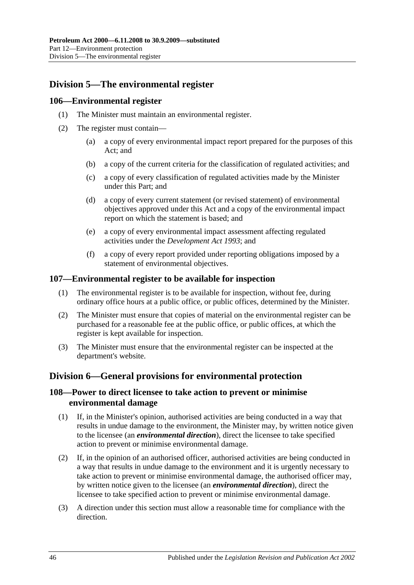# <span id="page-45-0"></span>**Division 5—The environmental register**

### <span id="page-45-1"></span>**106—Environmental register**

- (1) The Minister must maintain an environmental register.
- (2) The register must contain—
	- (a) a copy of every environmental impact report prepared for the purposes of this Act; and
	- (b) a copy of the current criteria for the classification of regulated activities; and
	- (c) a copy of every classification of regulated activities made by the Minister under this Part; and
	- (d) a copy of every current statement (or revised statement) of environmental objectives approved under this Act and a copy of the environmental impact report on which the statement is based; and
	- (e) a copy of every environmental impact assessment affecting regulated activities under the *[Development Act](http://www.legislation.sa.gov.au/index.aspx?action=legref&type=act&legtitle=Development%20Act%201993) 1993*; and
	- (f) a copy of every report provided under reporting obligations imposed by a statement of environmental objectives.

#### <span id="page-45-2"></span>**107—Environmental register to be available for inspection**

- (1) The environmental register is to be available for inspection, without fee, during ordinary office hours at a public office, or public offices, determined by the Minister.
- (2) The Minister must ensure that copies of material on the environmental register can be purchased for a reasonable fee at the public office, or public offices, at which the register is kept available for inspection.
- (3) The Minister must ensure that the environmental register can be inspected at the department's website.

# <span id="page-45-3"></span>**Division 6—General provisions for environmental protection**

# <span id="page-45-4"></span>**108—Power to direct licensee to take action to prevent or minimise environmental damage**

- (1) If, in the Minister's opinion, authorised activities are being conducted in a way that results in undue damage to the environment, the Minister may, by written notice given to the licensee (an *environmental direction*), direct the licensee to take specified action to prevent or minimise environmental damage.
- (2) If, in the opinion of an authorised officer, authorised activities are being conducted in a way that results in undue damage to the environment and it is urgently necessary to take action to prevent or minimise environmental damage, the authorised officer may, by written notice given to the licensee (an *environmental direction*), direct the licensee to take specified action to prevent or minimise environmental damage.
- (3) A direction under this section must allow a reasonable time for compliance with the direction.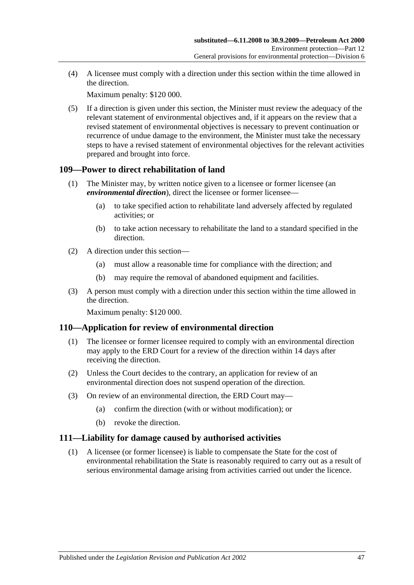(4) A licensee must comply with a direction under this section within the time allowed in the direction.

Maximum penalty: \$120 000.

(5) If a direction is given under this section, the Minister must review the adequacy of the relevant statement of environmental objectives and, if it appears on the review that a revised statement of environmental objectives is necessary to prevent continuation or recurrence of undue damage to the environment, the Minister must take the necessary steps to have a revised statement of environmental objectives for the relevant activities prepared and brought into force.

# <span id="page-46-0"></span>**109—Power to direct rehabilitation of land**

- (1) The Minister may, by written notice given to a licensee or former licensee (an *environmental direction*), direct the licensee or former licensee—
	- (a) to take specified action to rehabilitate land adversely affected by regulated activities; or
	- (b) to take action necessary to rehabilitate the land to a standard specified in the direction.
- (2) A direction under this section—
	- (a) must allow a reasonable time for compliance with the direction; and
	- (b) may require the removal of abandoned equipment and facilities.
- (3) A person must comply with a direction under this section within the time allowed in the direction.

Maximum penalty: \$120 000.

# <span id="page-46-1"></span>**110—Application for review of environmental direction**

- (1) The licensee or former licensee required to comply with an environmental direction may apply to the ERD Court for a review of the direction within 14 days after receiving the direction.
- (2) Unless the Court decides to the contrary, an application for review of an environmental direction does not suspend operation of the direction.
- (3) On review of an environmental direction, the ERD Court may—
	- (a) confirm the direction (with or without modification); or
	- (b) revoke the direction.

# <span id="page-46-2"></span>**111—Liability for damage caused by authorised activities**

(1) A licensee (or former licensee) is liable to compensate the State for the cost of environmental rehabilitation the State is reasonably required to carry out as a result of serious environmental damage arising from activities carried out under the licence.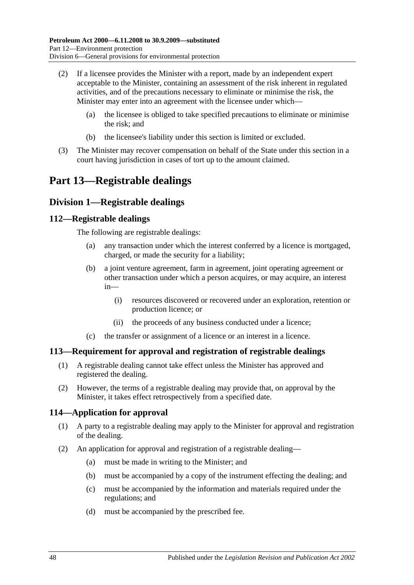- (2) If a licensee provides the Minister with a report, made by an independent expert acceptable to the Minister, containing an assessment of the risk inherent in regulated activities, and of the precautions necessary to eliminate or minimise the risk, the Minister may enter into an agreement with the licensee under which—
	- (a) the licensee is obliged to take specified precautions to eliminate or minimise the risk; and
	- (b) the licensee's liability under this section is limited or excluded.
- (3) The Minister may recover compensation on behalf of the State under this section in a court having jurisdiction in cases of tort up to the amount claimed.

# <span id="page-47-0"></span>**Part 13—Registrable dealings**

# <span id="page-47-1"></span>**Division 1—Registrable dealings**

# <span id="page-47-2"></span>**112—Registrable dealings**

The following are registrable dealings:

- (a) any transaction under which the interest conferred by a licence is mortgaged, charged, or made the security for a liability;
- (b) a joint venture agreement, farm in agreement, joint operating agreement or other transaction under which a person acquires, or may acquire, an interest in—
	- (i) resources discovered or recovered under an exploration, retention or production licence; or
	- (ii) the proceeds of any business conducted under a licence;
- (c) the transfer or assignment of a licence or an interest in a licence.

# <span id="page-47-3"></span>**113—Requirement for approval and registration of registrable dealings**

- (1) A registrable dealing cannot take effect unless the Minister has approved and registered the dealing.
- (2) However, the terms of a registrable dealing may provide that, on approval by the Minister, it takes effect retrospectively from a specified date.

# <span id="page-47-4"></span>**114—Application for approval**

- (1) A party to a registrable dealing may apply to the Minister for approval and registration of the dealing.
- (2) An application for approval and registration of a registrable dealing—
	- (a) must be made in writing to the Minister; and
	- (b) must be accompanied by a copy of the instrument effecting the dealing; and
	- (c) must be accompanied by the information and materials required under the regulations; and
	- (d) must be accompanied by the prescribed fee.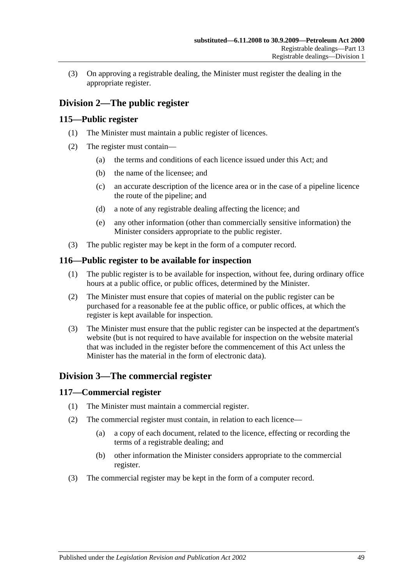(3) On approving a registrable dealing, the Minister must register the dealing in the appropriate register.

# <span id="page-48-0"></span>**Division 2—The public register**

### <span id="page-48-1"></span>**115—Public register**

- (1) The Minister must maintain a public register of licences.
- (2) The register must contain—
	- (a) the terms and conditions of each licence issued under this Act; and
	- (b) the name of the licensee; and
	- (c) an accurate description of the licence area or in the case of a pipeline licence the route of the pipeline; and
	- (d) a note of any registrable dealing affecting the licence; and
	- (e) any other information (other than commercially sensitive information) the Minister considers appropriate to the public register.
- (3) The public register may be kept in the form of a computer record.

#### <span id="page-48-2"></span>**116—Public register to be available for inspection**

- (1) The public register is to be available for inspection, without fee, during ordinary office hours at a public office, or public offices, determined by the Minister.
- (2) The Minister must ensure that copies of material on the public register can be purchased for a reasonable fee at the public office, or public offices, at which the register is kept available for inspection.
- (3) The Minister must ensure that the public register can be inspected at the department's website (but is not required to have available for inspection on the website material that was included in the register before the commencement of this Act unless the Minister has the material in the form of electronic data).

# <span id="page-48-3"></span>**Division 3—The commercial register**

#### <span id="page-48-4"></span>**117—Commercial register**

- (1) The Minister must maintain a commercial register.
- (2) The commercial register must contain, in relation to each licence—
	- (a) a copy of each document, related to the licence, effecting or recording the terms of a registrable dealing; and
	- (b) other information the Minister considers appropriate to the commercial register.
- (3) The commercial register may be kept in the form of a computer record.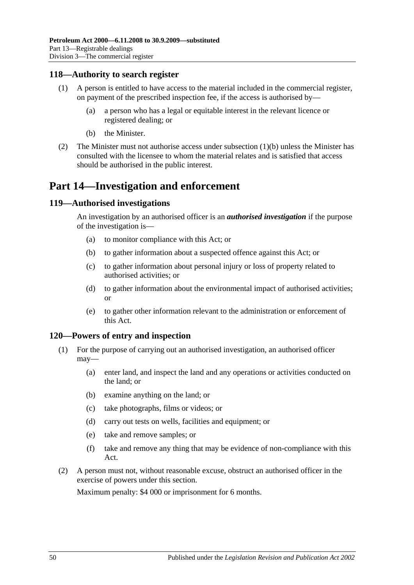### <span id="page-49-0"></span>**118—Authority to search register**

- (1) A person is entitled to have access to the material included in the commercial register, on payment of the prescribed inspection fee, if the access is authorised by—
	- (a) a person who has a legal or equitable interest in the relevant licence or registered dealing; or
	- (b) the Minister.
- <span id="page-49-4"></span>(2) The Minister must not authorise access under [subsection](#page-49-4) (1)(b) unless the Minister has consulted with the licensee to whom the material relates and is satisfied that access should be authorised in the public interest.

# <span id="page-49-1"></span>**Part 14—Investigation and enforcement**

#### <span id="page-49-2"></span>**119—Authorised investigations**

An investigation by an authorised officer is an *authorised investigation* if the purpose of the investigation is—

- (a) to monitor compliance with this Act; or
- (b) to gather information about a suspected offence against this Act; or
- (c) to gather information about personal injury or loss of property related to authorised activities; or
- (d) to gather information about the environmental impact of authorised activities; or
- (e) to gather other information relevant to the administration or enforcement of this Act.

#### <span id="page-49-3"></span>**120—Powers of entry and inspection**

- (1) For the purpose of carrying out an authorised investigation, an authorised officer may—
	- (a) enter land, and inspect the land and any operations or activities conducted on the land; or
	- (b) examine anything on the land; or
	- (c) take photographs, films or videos; or
	- (d) carry out tests on wells, facilities and equipment; or
	- (e) take and remove samples; or
	- (f) take and remove any thing that may be evidence of non-compliance with this Act.
- (2) A person must not, without reasonable excuse, obstruct an authorised officer in the exercise of powers under this section.

Maximum penalty: \$4 000 or imprisonment for 6 months.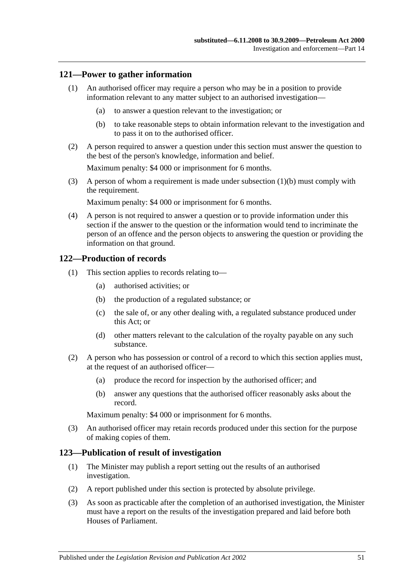# <span id="page-50-0"></span>**121—Power to gather information**

- (1) An authorised officer may require a person who may be in a position to provide information relevant to any matter subject to an authorised investigation—
	- (a) to answer a question relevant to the investigation; or
	- (b) to take reasonable steps to obtain information relevant to the investigation and to pass it on to the authorised officer.
- <span id="page-50-3"></span>(2) A person required to answer a question under this section must answer the question to the best of the person's knowledge, information and belief.

Maximum penalty: \$4 000 or imprisonment for 6 months.

(3) A person of whom a requirement is made under [subsection](#page-50-3) (1)(b) must comply with the requirement.

Maximum penalty: \$4 000 or imprisonment for 6 months.

(4) A person is not required to answer a question or to provide information under this section if the answer to the question or the information would tend to incriminate the person of an offence and the person objects to answering the question or providing the information on that ground.

# <span id="page-50-1"></span>**122—Production of records**

- (1) This section applies to records relating to—
	- (a) authorised activities; or
	- (b) the production of a regulated substance; or
	- (c) the sale of, or any other dealing with, a regulated substance produced under this Act; or
	- (d) other matters relevant to the calculation of the royalty payable on any such substance.
- (2) A person who has possession or control of a record to which this section applies must, at the request of an authorised officer—
	- (a) produce the record for inspection by the authorised officer; and
	- (b) answer any questions that the authorised officer reasonably asks about the record.

Maximum penalty: \$4 000 or imprisonment for 6 months.

(3) An authorised officer may retain records produced under this section for the purpose of making copies of them.

# <span id="page-50-2"></span>**123—Publication of result of investigation**

- (1) The Minister may publish a report setting out the results of an authorised investigation.
- (2) A report published under this section is protected by absolute privilege.
- (3) As soon as practicable after the completion of an authorised investigation, the Minister must have a report on the results of the investigation prepared and laid before both Houses of Parliament.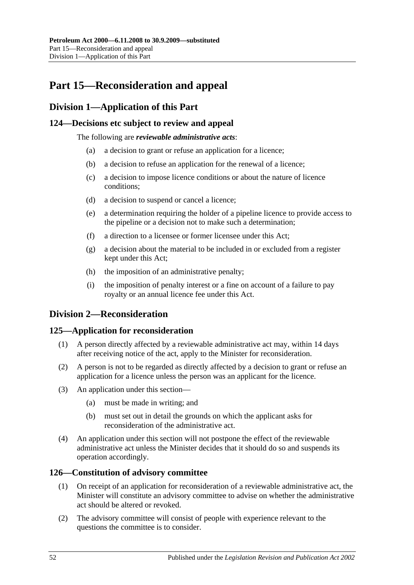# <span id="page-51-0"></span>**Part 15—Reconsideration and appeal**

# <span id="page-51-1"></span>**Division 1—Application of this Part**

# <span id="page-51-2"></span>**124—Decisions etc subject to review and appeal**

The following are *reviewable administrative acts*:

- (a) a decision to grant or refuse an application for a licence;
- (b) a decision to refuse an application for the renewal of a licence;
- (c) a decision to impose licence conditions or about the nature of licence conditions;
- (d) a decision to suspend or cancel a licence;
- (e) a determination requiring the holder of a pipeline licence to provide access to the pipeline or a decision not to make such a determination;
- (f) a direction to a licensee or former licensee under this Act;
- (g) a decision about the material to be included in or excluded from a register kept under this Act;
- (h) the imposition of an administrative penalty;
- (i) the imposition of penalty interest or a fine on account of a failure to pay royalty or an annual licence fee under this Act.

# <span id="page-51-3"></span>**Division 2—Reconsideration**

# <span id="page-51-4"></span>**125—Application for reconsideration**

- (1) A person directly affected by a reviewable administrative act may, within 14 days after receiving notice of the act, apply to the Minister for reconsideration.
- (2) A person is not to be regarded as directly affected by a decision to grant or refuse an application for a licence unless the person was an applicant for the licence.
- (3) An application under this section—
	- (a) must be made in writing; and
	- (b) must set out in detail the grounds on which the applicant asks for reconsideration of the administrative act.
- (4) An application under this section will not postpone the effect of the reviewable administrative act unless the Minister decides that it should do so and suspends its operation accordingly.

# <span id="page-51-5"></span>**126—Constitution of advisory committee**

- (1) On receipt of an application for reconsideration of a reviewable administrative act, the Minister will constitute an advisory committee to advise on whether the administrative act should be altered or revoked.
- (2) The advisory committee will consist of people with experience relevant to the questions the committee is to consider.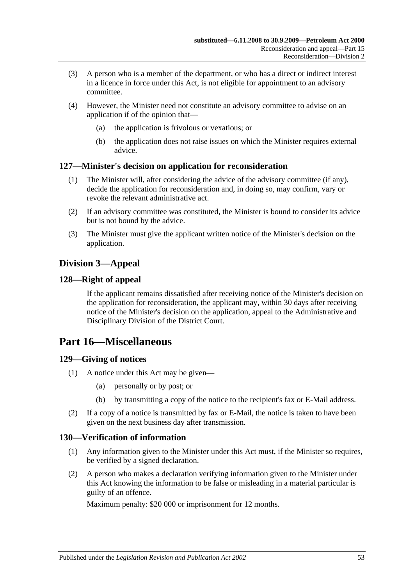- (3) A person who is a member of the department, or who has a direct or indirect interest in a licence in force under this Act, is not eligible for appointment to an advisory committee.
- (4) However, the Minister need not constitute an advisory committee to advise on an application if of the opinion that—
	- (a) the application is frivolous or vexatious; or
	- (b) the application does not raise issues on which the Minister requires external advice.

# <span id="page-52-0"></span>**127—Minister's decision on application for reconsideration**

- (1) The Minister will, after considering the advice of the advisory committee (if any), decide the application for reconsideration and, in doing so, may confirm, vary or revoke the relevant administrative act.
- (2) If an advisory committee was constituted, the Minister is bound to consider its advice but is not bound by the advice.
- (3) The Minister must give the applicant written notice of the Minister's decision on the application.

# <span id="page-52-1"></span>**Division 3—Appeal**

# <span id="page-52-2"></span>**128—Right of appeal**

If the applicant remains dissatisfied after receiving notice of the Minister's decision on the application for reconsideration, the applicant may, within 30 days after receiving notice of the Minister's decision on the application, appeal to the Administrative and Disciplinary Division of the District Court.

# <span id="page-52-3"></span>**Part 16—Miscellaneous**

# <span id="page-52-4"></span>**129—Giving of notices**

- (1) A notice under this Act may be given—
	- (a) personally or by post; or
	- (b) by transmitting a copy of the notice to the recipient's fax or E-Mail address.
- (2) If a copy of a notice is transmitted by fax or E-Mail, the notice is taken to have been given on the next business day after transmission.

# <span id="page-52-5"></span>**130—Verification of information**

- (1) Any information given to the Minister under this Act must, if the Minister so requires, be verified by a signed declaration.
- (2) A person who makes a declaration verifying information given to the Minister under this Act knowing the information to be false or misleading in a material particular is guilty of an offence.

Maximum penalty: \$20 000 or imprisonment for 12 months.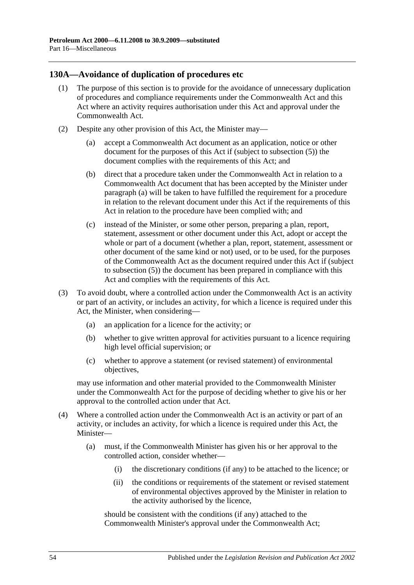# <span id="page-53-0"></span>**130A—Avoidance of duplication of procedures etc**

- (1) The purpose of this section is to provide for the avoidance of unnecessary duplication of procedures and compliance requirements under the Commonwealth Act and this Act where an activity requires authorisation under this Act and approval under the Commonwealth Act.
- <span id="page-53-3"></span><span id="page-53-2"></span><span id="page-53-1"></span>(2) Despite any other provision of this Act, the Minister may—
	- (a) accept a Commonwealth Act document as an application, notice or other document for the purposes of this Act if (subject to [subsection](#page-54-0) (5)) the document complies with the requirements of this Act; and
	- (b) direct that a procedure taken under the Commonwealth Act in relation to a Commonwealth Act document that has been accepted by the Minister under [paragraph](#page-53-1) (a) will be taken to have fulfilled the requirement for a procedure in relation to the relevant document under this Act if the requirements of this Act in relation to the procedure have been complied with; and
	- (c) instead of the Minister, or some other person, preparing a plan, report, statement, assessment or other document under this Act, adopt or accept the whole or part of a document (whether a plan, report, statement, assessment or other document of the same kind or not) used, or to be used, for the purposes of the Commonwealth Act as the document required under this Act if (subject to [subsection](#page-54-0) (5)) the document has been prepared in compliance with this Act and complies with the requirements of this Act.
- (3) To avoid doubt, where a controlled action under the Commonwealth Act is an activity or part of an activity, or includes an activity, for which a licence is required under this Act, the Minister, when considering—
	- (a) an application for a licence for the activity; or
	- (b) whether to give written approval for activities pursuant to a licence requiring high level official supervision; or
	- (c) whether to approve a statement (or revised statement) of environmental objectives,

may use information and other material provided to the Commonwealth Minister under the Commonwealth Act for the purpose of deciding whether to give his or her approval to the controlled action under that Act.

- (4) Where a controlled action under the Commonwealth Act is an activity or part of an activity, or includes an activity, for which a licence is required under this Act, the Minister—
	- (a) must, if the Commonwealth Minister has given his or her approval to the controlled action, consider whether—
		- (i) the discretionary conditions (if any) to be attached to the licence; or
		- (ii) the conditions or requirements of the statement or revised statement of environmental objectives approved by the Minister in relation to the activity authorised by the licence,

should be consistent with the conditions (if any) attached to the Commonwealth Minister's approval under the Commonwealth Act;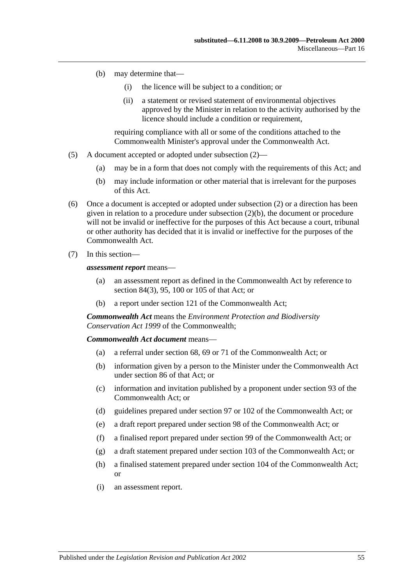- (b) may determine that—
	- (i) the licence will be subject to a condition; or
	- (ii) a statement or revised statement of environmental objectives approved by the Minister in relation to the activity authorised by the licence should include a condition or requirement.

requiring compliance with all or some of the conditions attached to the Commonwealth Minister's approval under the Commonwealth Act.

- <span id="page-54-0"></span>(5) A document accepted or adopted under [subsection](#page-53-2) (2)—
	- (a) may be in a form that does not comply with the requirements of this Act; and
	- (b) may include information or other material that is irrelevant for the purposes of this Act.
- (6) Once a document is accepted or adopted under [subsection](#page-53-2) (2) or a direction has been given in relation to a procedure under [subsection](#page-53-3) (2)(b), the document or procedure will not be invalid or ineffective for the purposes of this Act because a court, tribunal or other authority has decided that it is invalid or ineffective for the purposes of the Commonwealth Act.
- (7) In this section—

*assessment report* means—

- (a) an assessment report as defined in the Commonwealth Act by reference to section 84(3), 95, 100 or 105 of that Act; or
- (b) a report under section 121 of the Commonwealth Act;

*Commonwealth Act* means the *Environment Protection and Biodiversity Conservation Act 1999* of the Commonwealth;

#### *Commonwealth Act document* means—

- (a) a referral under section 68, 69 or 71 of the Commonwealth Act; or
- (b) information given by a person to the Minister under the Commonwealth Act under section 86 of that Act; or
- (c) information and invitation published by a proponent under section 93 of the Commonwealth Act; or
- (d) guidelines prepared under section 97 or 102 of the Commonwealth Act; or
- (e) a draft report prepared under section 98 of the Commonwealth Act; or
- (f) a finalised report prepared under section 99 of the Commonwealth Act; or
- (g) a draft statement prepared under section 103 of the Commonwealth Act; or
- (h) a finalised statement prepared under section 104 of the Commonwealth Act; or
- (i) an assessment report.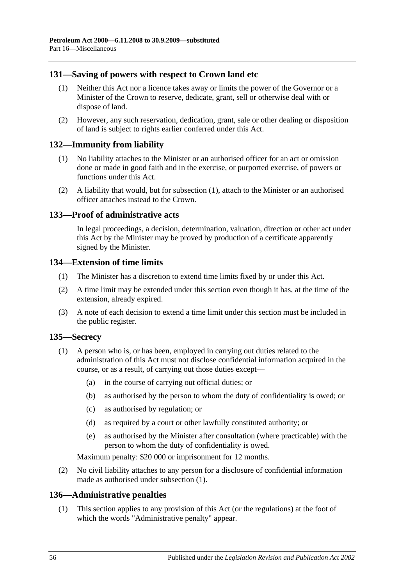# <span id="page-55-0"></span>**131—Saving of powers with respect to Crown land etc**

- (1) Neither this Act nor a licence takes away or limits the power of the Governor or a Minister of the Crown to reserve, dedicate, grant, sell or otherwise deal with or dispose of land.
- (2) However, any such reservation, dedication, grant, sale or other dealing or disposition of land is subject to rights earlier conferred under this Act.

### <span id="page-55-6"></span><span id="page-55-1"></span>**132—Immunity from liability**

- (1) No liability attaches to the Minister or an authorised officer for an act or omission done or made in good faith and in the exercise, or purported exercise, of powers or functions under this Act.
- (2) A liability that would, but for [subsection](#page-55-6) (1), attach to the Minister or an authorised officer attaches instead to the Crown.

### <span id="page-55-2"></span>**133—Proof of administrative acts**

In legal proceedings, a decision, determination, valuation, direction or other act under this Act by the Minister may be proved by production of a certificate apparently signed by the Minister.

# <span id="page-55-3"></span>**134—Extension of time limits**

- (1) The Minister has a discretion to extend time limits fixed by or under this Act.
- (2) A time limit may be extended under this section even though it has, at the time of the extension, already expired.
- (3) A note of each decision to extend a time limit under this section must be included in the public register.

# <span id="page-55-7"></span><span id="page-55-4"></span>**135—Secrecy**

- (1) A person who is, or has been, employed in carrying out duties related to the administration of this Act must not disclose confidential information acquired in the course, or as a result, of carrying out those duties except—
	- (a) in the course of carrying out official duties; or
	- (b) as authorised by the person to whom the duty of confidentiality is owed; or
	- (c) as authorised by regulation; or
	- (d) as required by a court or other lawfully constituted authority; or
	- (e) as authorised by the Minister after consultation (where practicable) with the person to whom the duty of confidentiality is owed.

Maximum penalty: \$20 000 or imprisonment for 12 months.

(2) No civil liability attaches to any person for a disclosure of confidential information made as authorised under [subsection](#page-55-7) (1).

# <span id="page-55-5"></span>**136—Administrative penalties**

(1) This section applies to any provision of this Act (or the regulations) at the foot of which the words "Administrative penalty" appear.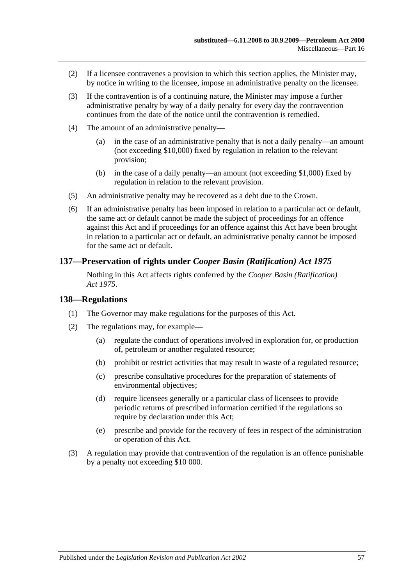- (2) If a licensee contravenes a provision to which this section applies, the Minister may, by notice in writing to the licensee, impose an administrative penalty on the licensee.
- (3) If the contravention is of a continuing nature, the Minister may impose a further administrative penalty by way of a daily penalty for every day the contravention continues from the date of the notice until the contravention is remedied.
- (4) The amount of an administrative penalty—
	- (a) in the case of an administrative penalty that is not a daily penalty—an amount (not exceeding \$10,000) fixed by regulation in relation to the relevant provision;
	- (b) in the case of a daily penalty—an amount (not exceeding \$1,000) fixed by regulation in relation to the relevant provision.
- (5) An administrative penalty may be recovered as a debt due to the Crown.
- (6) If an administrative penalty has been imposed in relation to a particular act or default, the same act or default cannot be made the subject of proceedings for an offence against this Act and if proceedings for an offence against this Act have been brought in relation to a particular act or default, an administrative penalty cannot be imposed for the same act or default.

# <span id="page-56-0"></span>**137—Preservation of rights under** *Cooper Basin (Ratification) Act 1975*

Nothing in this Act affects rights conferred by the *[Cooper Basin \(Ratification\)](http://www.legislation.sa.gov.au/index.aspx?action=legref&type=act&legtitle=Cooper%20Basin%20(Ratification)%20Act%201975)  Act [1975](http://www.legislation.sa.gov.au/index.aspx?action=legref&type=act&legtitle=Cooper%20Basin%20(Ratification)%20Act%201975)*.

#### <span id="page-56-1"></span>**138—Regulations**

- (1) The Governor may make regulations for the purposes of this Act.
- (2) The regulations may, for example—
	- (a) regulate the conduct of operations involved in exploration for, or production of, petroleum or another regulated resource;
	- (b) prohibit or restrict activities that may result in waste of a regulated resource;
	- (c) prescribe consultative procedures for the preparation of statements of environmental objectives;
	- (d) require licensees generally or a particular class of licensees to provide periodic returns of prescribed information certified if the regulations so require by declaration under this Act;
	- (e) prescribe and provide for the recovery of fees in respect of the administration or operation of this Act.
- (3) A regulation may provide that contravention of the regulation is an offence punishable by a penalty not exceeding \$10 000.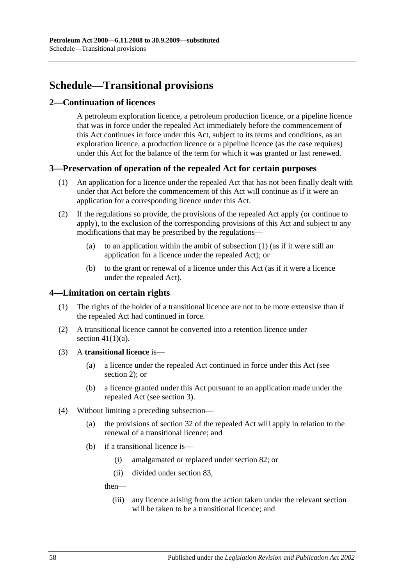# <span id="page-57-0"></span>**Schedule—Transitional provisions**

# <span id="page-57-1"></span>**2—Continuation of licences**

A petroleum exploration licence, a petroleum production licence, or a pipeline licence that was in force under the repealed Act immediately before the commencement of this Act continues in force under this Act, subject to its terms and conditions, as an exploration licence, a production licence or a pipeline licence (as the case requires) under this Act for the balance of the term for which it was granted or last renewed.

# <span id="page-57-4"></span><span id="page-57-2"></span>**3—Preservation of operation of the repealed Act for certain purposes**

- (1) An application for a licence under the repealed Act that has not been finally dealt with under that Act before the commencement of this Act will continue as if it were an application for a corresponding licence under this Act.
- (2) If the regulations so provide, the provisions of the repealed Act apply (or continue to apply), to the exclusion of the corresponding provisions of this Act and subject to any modifications that may be prescribed by the regulations—
	- (a) to an application within the ambit of [subsection](#page-57-4) (1) (as if it were still an application for a licence under the repealed Act); or
	- (b) to the grant or renewal of a licence under this Act (as if it were a licence under the repealed Act).

# <span id="page-57-3"></span>**4—Limitation on certain rights**

- (1) The rights of the holder of a transitional licence are not to be more extensive than if the repealed Act had continued in force.
- (2) A transitional licence cannot be converted into a retention licence under section  $41(1)(a)$ .
- (3) A **transitional licence** is—
	- (a) a licence under the repealed Act continued in force under this Act (see [section](#page-57-1) 2); or
	- (b) a licence granted under this Act pursuant to an application made under the repealed Act (see [section](#page-57-2) 3).
- <span id="page-57-5"></span>(4) Without limiting a preceding subsection—
	- (a) the provisions of section 32 of the repealed Act will apply in relation to the renewal of a transitional licence; and
	- (b) if a transitional licence is—
		- (i) amalgamated or replaced under [section](#page-36-1) 82; or
		- (ii) divided under [section](#page-36-2) 83,

then—

(iii) any licence arising from the action taken under the relevant section will be taken to be a transitional licence; and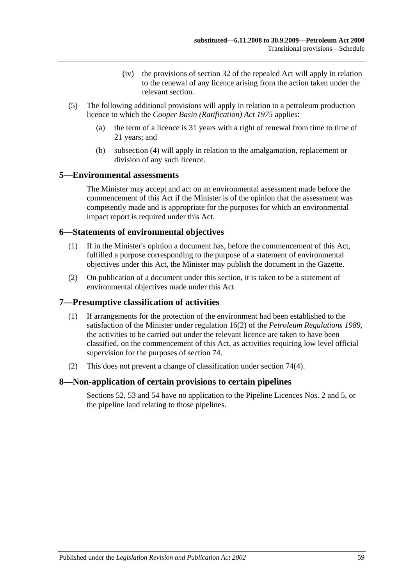- (iv) the provisions of section 32 of the repealed Act will apply in relation to the renewal of any licence arising from the action taken under the relevant section.
- (5) The following additional provisions will apply in relation to a petroleum production licence to which the *[Cooper Basin \(Ratification\) Act](http://www.legislation.sa.gov.au/index.aspx?action=legref&type=act&legtitle=Cooper%20Basin%20(Ratification)%20Act%201975) 1975* applies:
	- (a) the term of a licence is 31 years with a right of renewal from time to time of 21 years; and
	- (b) [subsection](#page-57-5) (4) will apply in relation to the amalgamation, replacement or division of any such licence.

### <span id="page-58-0"></span>**5—Environmental assessments**

The Minister may accept and act on an environmental assessment made before the commencement of this Act if the Minister is of the opinion that the assessment was competently made and is appropriate for the purposes for which an environmental impact report is required under this Act.

### <span id="page-58-1"></span>**6—Statements of environmental objectives**

- (1) If in the Minister's opinion a document has, before the commencement of this Act, fulfilled a purpose corresponding to the purpose of a statement of environmental objectives under this Act, the Minister may publish the document in the Gazette.
- (2) On publication of a document under this section, it is taken to be a statement of environmental objectives made under this Act.

# <span id="page-58-2"></span>**7—Presumptive classification of activities**

- (1) If arrangements for the protection of the environment had been established to the satisfaction of the Minister under regulation 16(2) of the *[Petroleum Regulations](http://www.legislation.sa.gov.au/index.aspx?action=legref&type=subordleg&legtitle=Petroleum%20Regulations%201989) 1989*, the activities to be carried out under the relevant licence are taken to have been classified, on the commencement of this Act, as activities requiring low level official supervision for the purposes of [section](#page-33-0) 74.
- (2) This does not prevent a change of classification under [section](#page-33-3) 74(4).

# <span id="page-58-3"></span>**8—Non-application of certain provisions to certain pipelines**

[Sections](#page-25-5) 52, [53](#page-26-0) and [54](#page-26-1) have no application to the Pipeline Licences Nos. 2 and 5, or the pipeline land relating to those pipelines.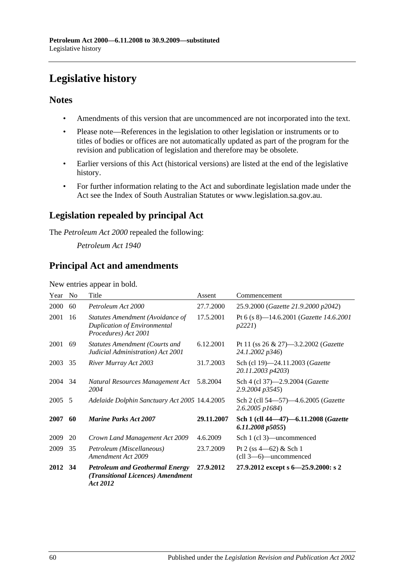# <span id="page-59-0"></span>**Legislative history**

# **Notes**

- Amendments of this version that are uncommenced are not incorporated into the text.
- Please note—References in the legislation to other legislation or instruments or to titles of bodies or offices are not automatically updated as part of the program for the revision and publication of legislation and therefore may be obsolete.
- Earlier versions of this Act (historical versions) are listed at the end of the legislative history.
- For further information relating to the Act and subordinate legislation made under the Act see the Index of South Australian Statutes or www.legislation.sa.gov.au.

# **Legislation repealed by principal Act**

The *Petroleum Act 2000* repealed the following:

*Petroleum Act 1940*

# **Principal Act and amendments**

New entries appear in bold.

| Year    | N <sub>0</sub> | Title                                                                                           | Assent     | Commencement                                                                          |
|---------|----------------|-------------------------------------------------------------------------------------------------|------------|---------------------------------------------------------------------------------------|
| 2000    | 60             | Petroleum Act 2000                                                                              | 27.7.2000  | 25.9.2000 (Gazette 21.9.2000 p2042)                                                   |
| 2001    | 16             | Statutes Amendment (Avoidance of<br><b>Duplication of Environmental</b><br>Procedures) Act 2001 | 17.5.2001  | Pt 6 (s 8)-14.6.2001 (Gazette 14.6.2001<br>p2221                                      |
| 2001    | 69             | Statutes Amendment (Courts and<br>Judicial Administration) Act 2001                             | 6.12.2001  | Pt 11 (ss $26 \& 27$ )—3.2.2002 ( <i>Gazette</i><br>24.1.2002 p346)                   |
| 2003    | 35             | River Murray Act 2003                                                                           | 31.7.2003  | Sch (cl 19)-24.11.2003 (Gazette<br>20.11.2003 p4203)                                  |
| 2004    | 34             | Natural Resources Management Act<br>2004                                                        | 5.8.2004   | Sch 4 (cl 37)-2.9.2004 (Gazette<br>2.9.2004 p3545)                                    |
| 2005    | - 5            | Adelaide Dolphin Sanctuary Act 2005 14.4.2005                                                   |            | Sch 2 (cll 54–57)–4.6.2005 (Gazette<br>2.6.2005 p1684)                                |
| 2007    | 60             | <b>Marine Parks Act 2007</b>                                                                    | 29.11.2007 | Sch 1 (cll 44-47)-6.11.2008 (Gazette<br>6.11.2008 p5055                               |
| 2009    | 20             | Crown Land Management Act 2009                                                                  | 4.6.2009   | Sch 1 (cl 3)—uncommenced                                                              |
| 2009    | 35             | Petroleum (Miscellaneous)<br>Amendment Act 2009                                                 | 23.7.2009  | Pt 2 (ss $4-62$ ) & Sch 1<br>$\left(\text{ell } 3 \rightarrow 6\right)$ - uncommenced |
| 2012 34 |                | <b>Petroleum and Geothermal Energy</b><br>(Transitional Licences) Amendment<br>Act 2012         | 27.9.2012  | 27.9.2012 except s 6-25.9.2000: s 2                                                   |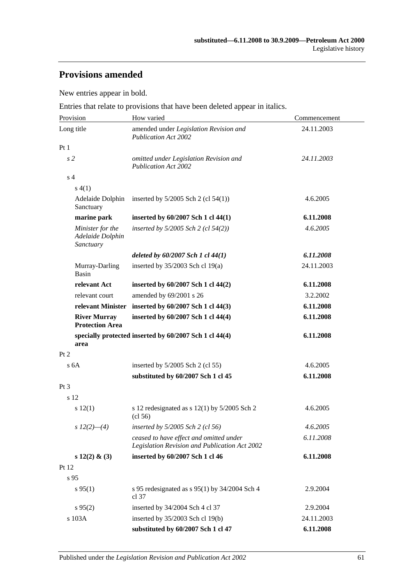# **Provisions amended**

New entries appear in bold.

Entries that relate to provisions that have been deleted appear in italics.

| Provision                                         | How varied                                                                               | Commencement |  |
|---------------------------------------------------|------------------------------------------------------------------------------------------|--------------|--|
| Long title                                        | amended under Legislation Revision and<br><b>Publication Act 2002</b>                    | 24.11.2003   |  |
| Pt1                                               |                                                                                          |              |  |
| s <sub>2</sub>                                    | omitted under Legislation Revision and<br><b>Publication Act 2002</b>                    | 24.11.2003   |  |
| s <sub>4</sub>                                    |                                                                                          |              |  |
| s(4(1))                                           |                                                                                          |              |  |
| Adelaide Dolphin<br>Sanctuary                     | inserted by $5/2005$ Sch 2 (cl $54(1)$ )                                                 | 4.6.2005     |  |
| marine park                                       | inserted by 60/2007 Sch 1 cl 44(1)                                                       | 6.11.2008    |  |
| Minister for the<br>Adelaide Dolphin<br>Sanctuary | inserted by $5/2005$ Sch 2 (cl $54(2)$ )                                                 | 4.6.2005     |  |
|                                                   | deleted by $60/2007$ Sch 1 cl $44(1)$                                                    | 6.11.2008    |  |
| Murray-Darling<br>Basin                           | inserted by 35/2003 Sch cl 19(a)                                                         | 24.11.2003   |  |
| relevant Act                                      | inserted by 60/2007 Sch 1 cl 44(2)                                                       | 6.11.2008    |  |
| relevant court                                    | amended by 69/2001 s 26                                                                  | 3.2.2002     |  |
|                                                   | relevant Minister inserted by 60/2007 Sch 1 cl 44(3)                                     | 6.11.2008    |  |
| <b>River Murray</b><br><b>Protection Area</b>     | inserted by 60/2007 Sch 1 cl 44(4)                                                       | 6.11.2008    |  |
| area                                              | specially protected inserted by 60/2007 Sch 1 cl 44(4)                                   | 6.11.2008    |  |
| Pt 2                                              |                                                                                          |              |  |
| s <sub>6A</sub>                                   | inserted by $5/2005$ Sch 2 (cl 55)                                                       | 4.6.2005     |  |
|                                                   | substituted by 60/2007 Sch 1 cl 45                                                       | 6.11.2008    |  |
| $Pt\,3$                                           |                                                                                          |              |  |
| s 12                                              |                                                                                          |              |  |
| s 12(1)                                           | s 12 redesignated as $s$ 12(1) by 5/2005 Sch 2<br>(cl 56)                                | 4.6.2005     |  |
| $s 12(2)$ - (4)                                   | inserted by 5/2005 Sch 2 (cl 56)                                                         | 4.6.2005     |  |
|                                                   | ceased to have effect and omitted under<br>Legislation Revision and Publication Act 2002 | 6.11.2008    |  |
| s $12(2)$ & (3)                                   | inserted by 60/2007 Sch 1 cl 46                                                          | 6.11.2008    |  |
| Pt 12                                             |                                                                                          |              |  |
| s <sub>95</sub>                                   |                                                                                          |              |  |
| $s\,95(1)$                                        | s 95 redesignated as $s$ 95(1) by 34/2004 Sch 4<br>cl 37                                 | 2.9.2004     |  |
| $s\,95(2)$                                        | inserted by 34/2004 Sch 4 cl 37                                                          | 2.9.2004     |  |
| s 103A                                            | inserted by 35/2003 Sch cl 19(b)                                                         | 24.11.2003   |  |
|                                                   | substituted by 60/2007 Sch 1 cl 47                                                       | 6.11.2008    |  |